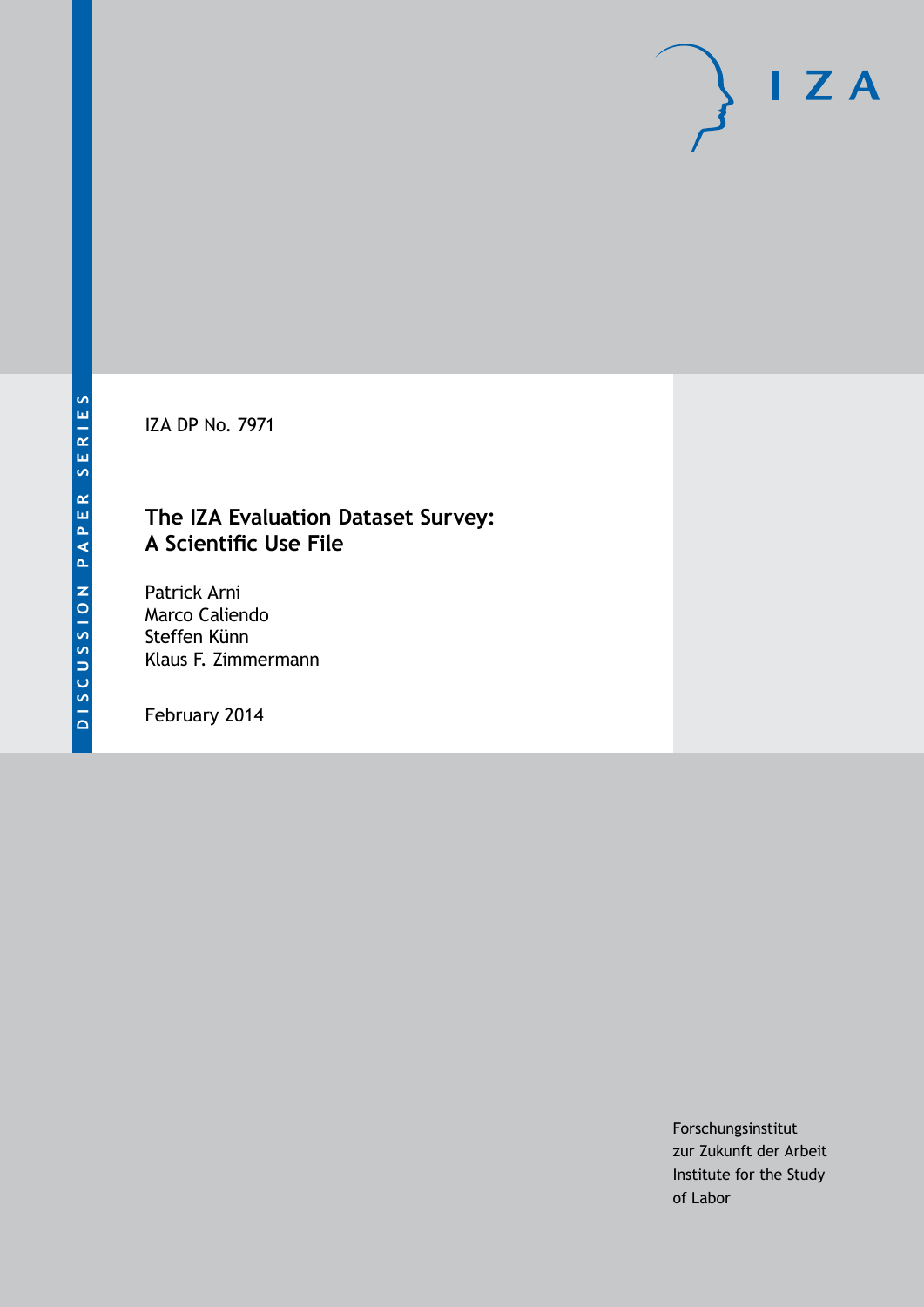IZA DP No. 7971

# **The IZA Evaluation Dataset Survey: A Scientific Use File**

Patrick Arni Marco Caliendo Steffen Künn Klaus F. Zimmermann

February 2014

Forschungsinstitut zur Zukunft der Arbeit Institute for the Study of Labor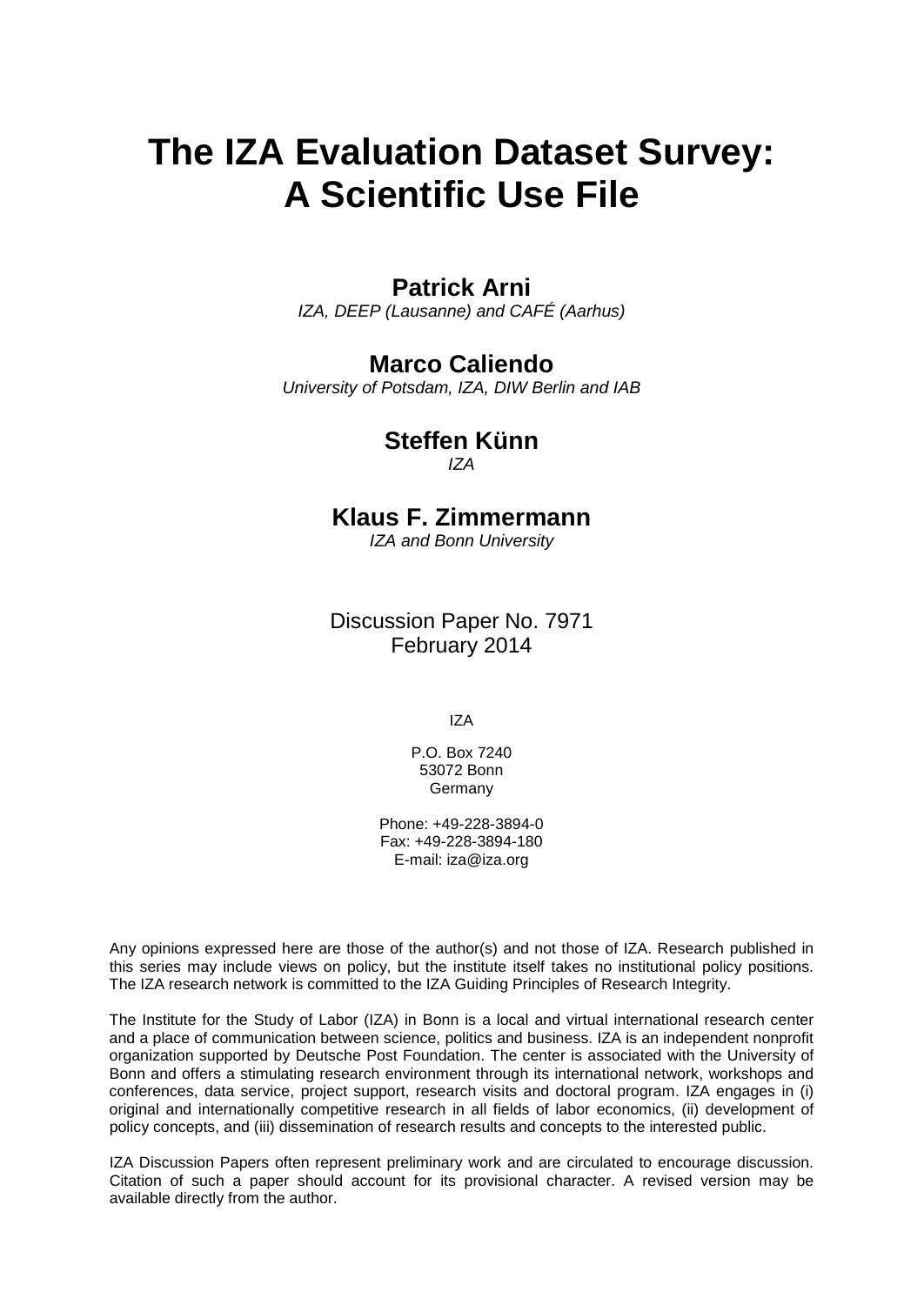# **The IZA Evaluation Dataset Survey: A Scientific Use File**

# **Patrick Arni**

*IZA, DEEP (Lausanne) and CAFÉ (Aarhus)*

# **Marco Caliendo**

*University of Potsdam, IZA, DIW Berlin and IAB*

**Steffen Künn** *IZA*

# **Klaus F. Zimmermann**

*IZA and Bonn University*

Discussion Paper No. 7971 February 2014

IZA

P.O. Box 7240 53072 Bonn **Germany** 

Phone: +49-228-3894-0 Fax: +49-228-3894-180 E-mail: [iza@iza.org](mailto:iza@iza.org)

Any opinions expressed here are those of the author(s) and not those of IZA. Research published in this series may include views on policy, but the institute itself takes no institutional policy positions. The IZA research network is committed to the IZA Guiding Principles of Research Integrity.

The Institute for the Study of Labor (IZA) in Bonn is a local and virtual international research center and a place of communication between science, politics and business. IZA is an independent nonprofit organization supported by Deutsche Post Foundation. The center is associated with the University of Bonn and offers a stimulating research environment through its international network, workshops and conferences, data service, project support, research visits and doctoral program. IZA engages in (i) original and internationally competitive research in all fields of labor economics, (ii) development of policy concepts, and (iii) dissemination of research results and concepts to the interested public.

<span id="page-1-0"></span>IZA Discussion Papers often represent preliminary work and are circulated to encourage discussion. Citation of such a paper should account for its provisional character. A revised version may be available directly from the author.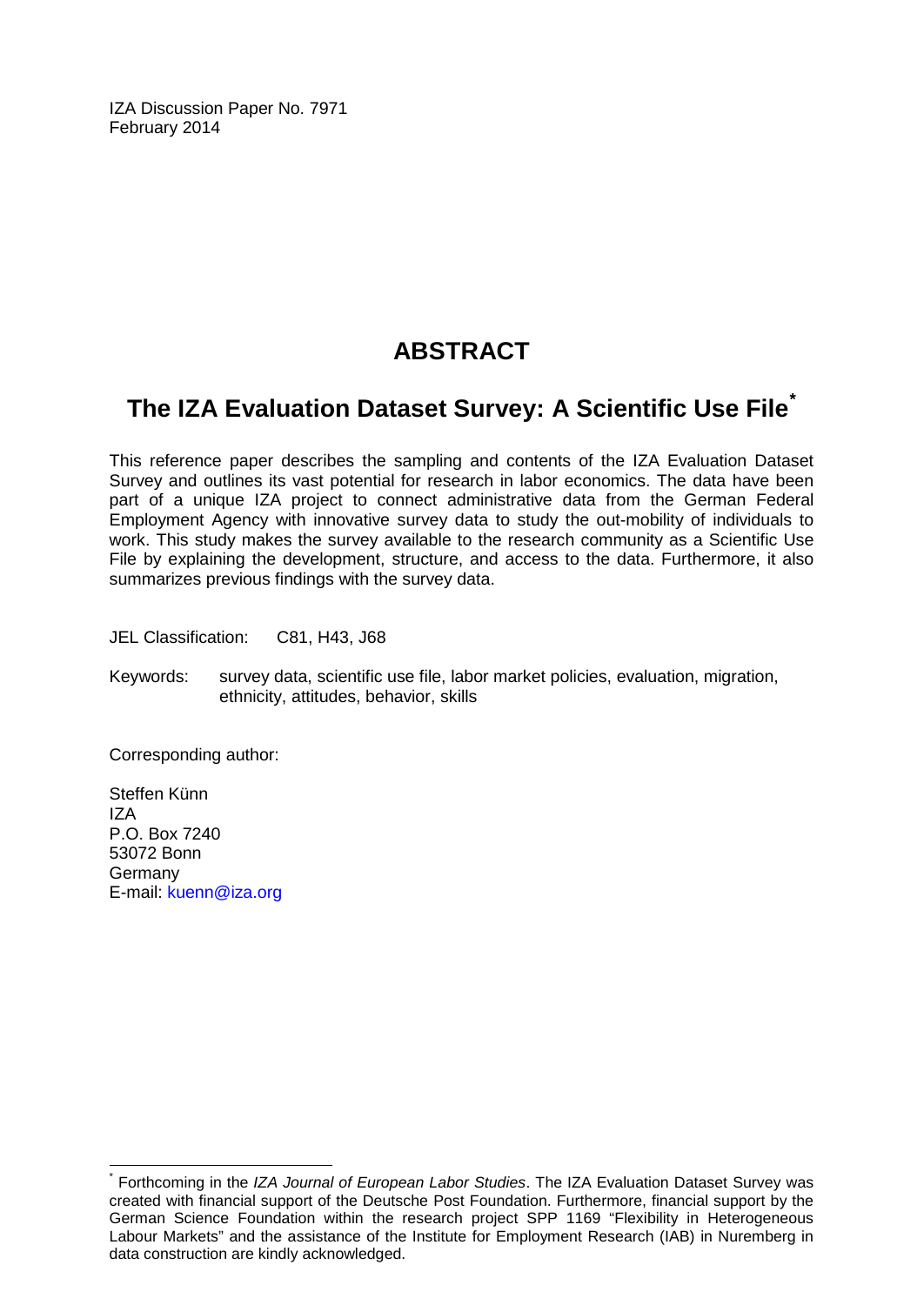IZA Discussion Paper No. 7971 February 2014

# **ABSTRACT**

# **The IZA Evaluation Dataset Survey: A Scientific Use File[\\*](#page-1-0)**

This reference paper describes the sampling and contents of the IZA Evaluation Dataset Survey and outlines its vast potential for research in labor economics. The data have been part of a unique IZA project to connect administrative data from the German Federal Employment Agency with innovative survey data to study the out-mobility of individuals to work. This study makes the survey available to the research community as a Scientific Use File by explaining the development, structure, and access to the data. Furthermore, it also summarizes previous findings with the survey data.

JEL Classification: C81, H43, J68

Keywords: survey data, scientific use file, labor market policies, evaluation, migration, ethnicity, attitudes, behavior, skills

Corresponding author:

Steffen Künn IZA P.O. Box 7240 53072 Bonn Germany E-mail: [kuenn@iza.org](mailto:kuenn@iza.org)

\* Forthcoming in the *IZA Journal of European Labor Studies*. The IZA Evaluation Dataset Survey was created with financial support of the Deutsche Post Foundation. Furthermore, financial support by the German Science Foundation within the research project SPP 1169 "Flexibility in Heterogeneous Labour Markets" and the assistance of the Institute for Employment Research (IAB) in Nuremberg in data construction are kindly acknowledged.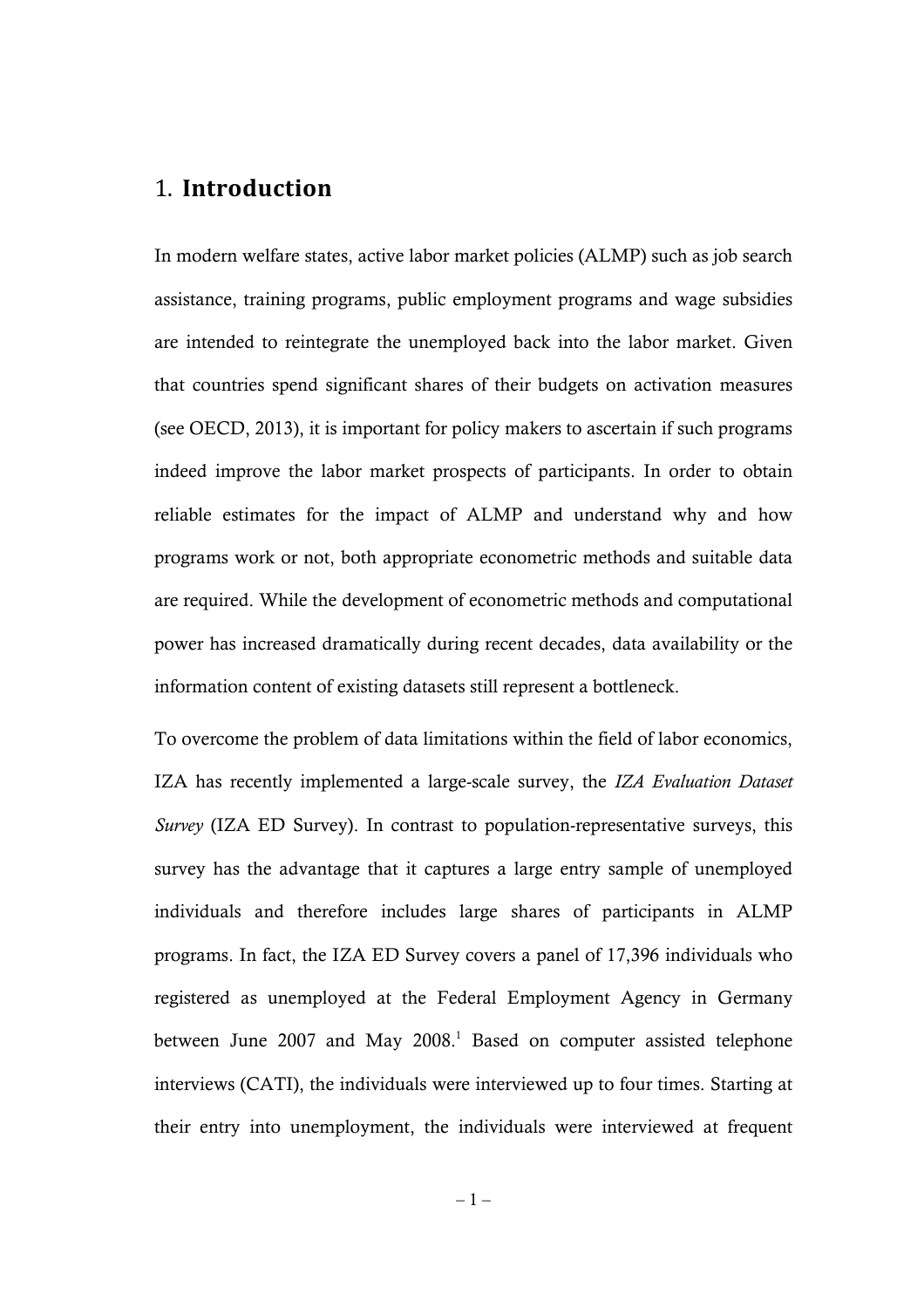# 1. **Introduction**

In modern welfare states, active labor market policies (ALMP) such as job search assistance, training programs, public employment programs and wage subsidies are intended to reintegrate the unemployed back into the labor market. Given that countries spend significant shares of their budgets on activation measures (see OECD, 2013), it is important for policy makers to ascertain if such programs indeed improve the labor market prospects of participants. In order to obtain reliable estimates for the impact of ALMP and understand why and how programs work or not, both appropriate econometric methods and suitable data are required. While the development of econometric methods and computational power has increased dramatically during recent decades, data availability or the information content of existing datasets still represent a bottleneck.

To overcome the problem of data limitations within the field of labor economics, IZA has recently implemented a large-scale survey, the *IZA Evaluation Dataset Survey* (IZA ED Survey). In contrast to population-representative surveys, this survey has the advantage that it captures a large entry sample of unemployed individuals and therefore includes large shares of participants in ALMP programs. In fact, the IZA ED Survey covers a panel of 17,396 individuals who registered as unemployed at the Federal Employment Agency in Germany between June 2007 and May 2008.<sup>1</sup> Based on computer assisted telephone interviews (CATI), the individuals were interviewed up to four times. Starting at their entry into unemployment, the individuals were interviewed at frequent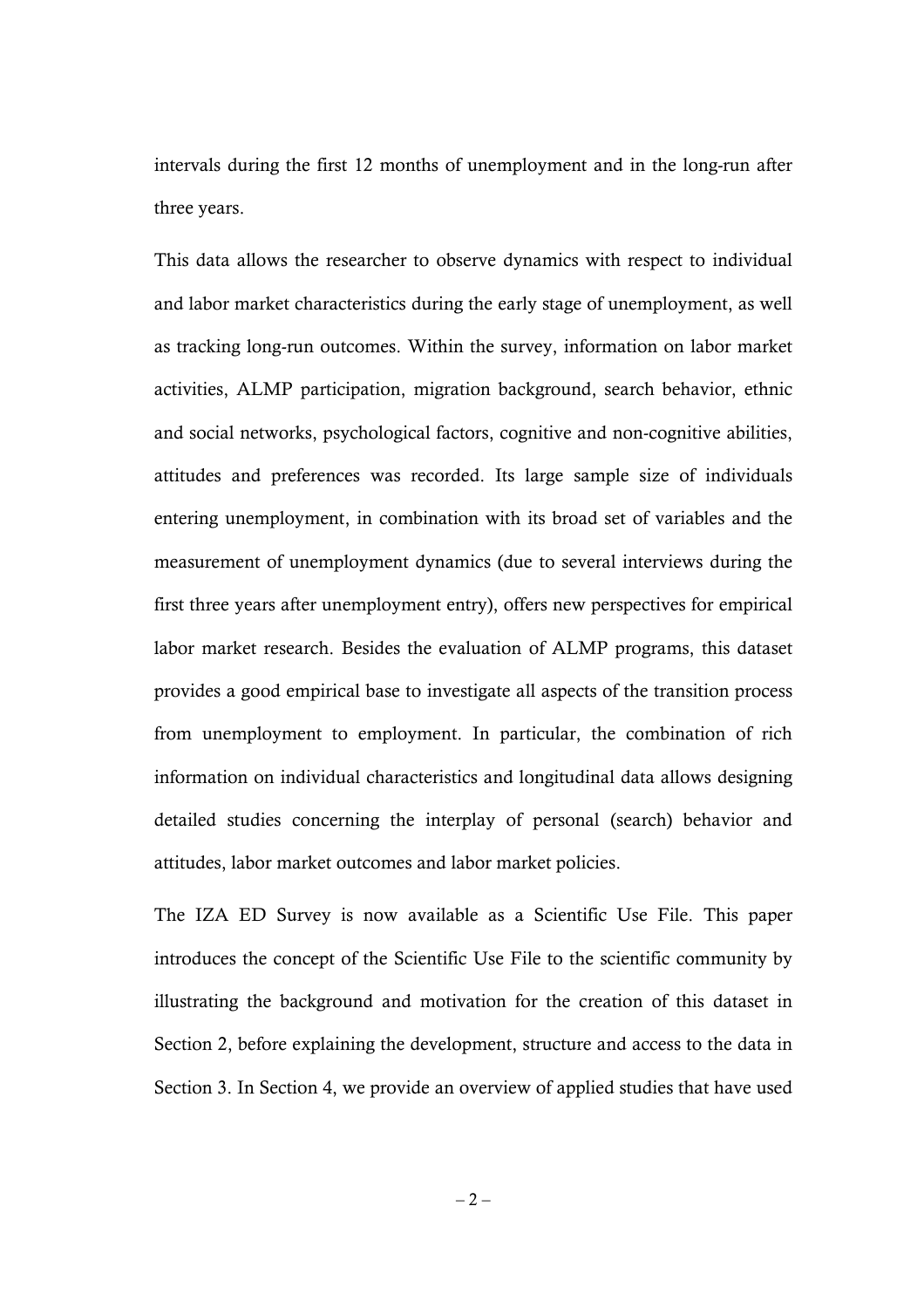intervals during the first 12 months of unemployment and in the long-run after three years.

This data allows the researcher to observe dynamics with respect to individual and labor market characteristics during the early stage of unemployment, as well as tracking long-run outcomes. Within the survey, information on labor market activities, ALMP participation, migration background, search behavior, ethnic and social networks, psychological factors, cognitive and non-cognitive abilities, attitudes and preferences was recorded. Its large sample size of individuals entering unemployment, in combination with its broad set of variables and the measurement of unemployment dynamics (due to several interviews during the first three years after unemployment entry), offers new perspectives for empirical labor market research. Besides the evaluation of ALMP programs, this dataset provides a good empirical base to investigate all aspects of the transition process from unemployment to employment. In particular, the combination of rich information on individual characteristics and longitudinal data allows designing detailed studies concerning the interplay of personal (search) behavior and attitudes, labor market outcomes and labor market policies.

The IZA ED Survey is now available as a Scientific Use File. This paper introduces the concept of the Scientific Use File to the scientific community by illustrating the background and motivation for the creation of this dataset in Section 2, before explaining the development, structure and access to the data in Section 3. In Section 4, we provide an overview of applied studies that have used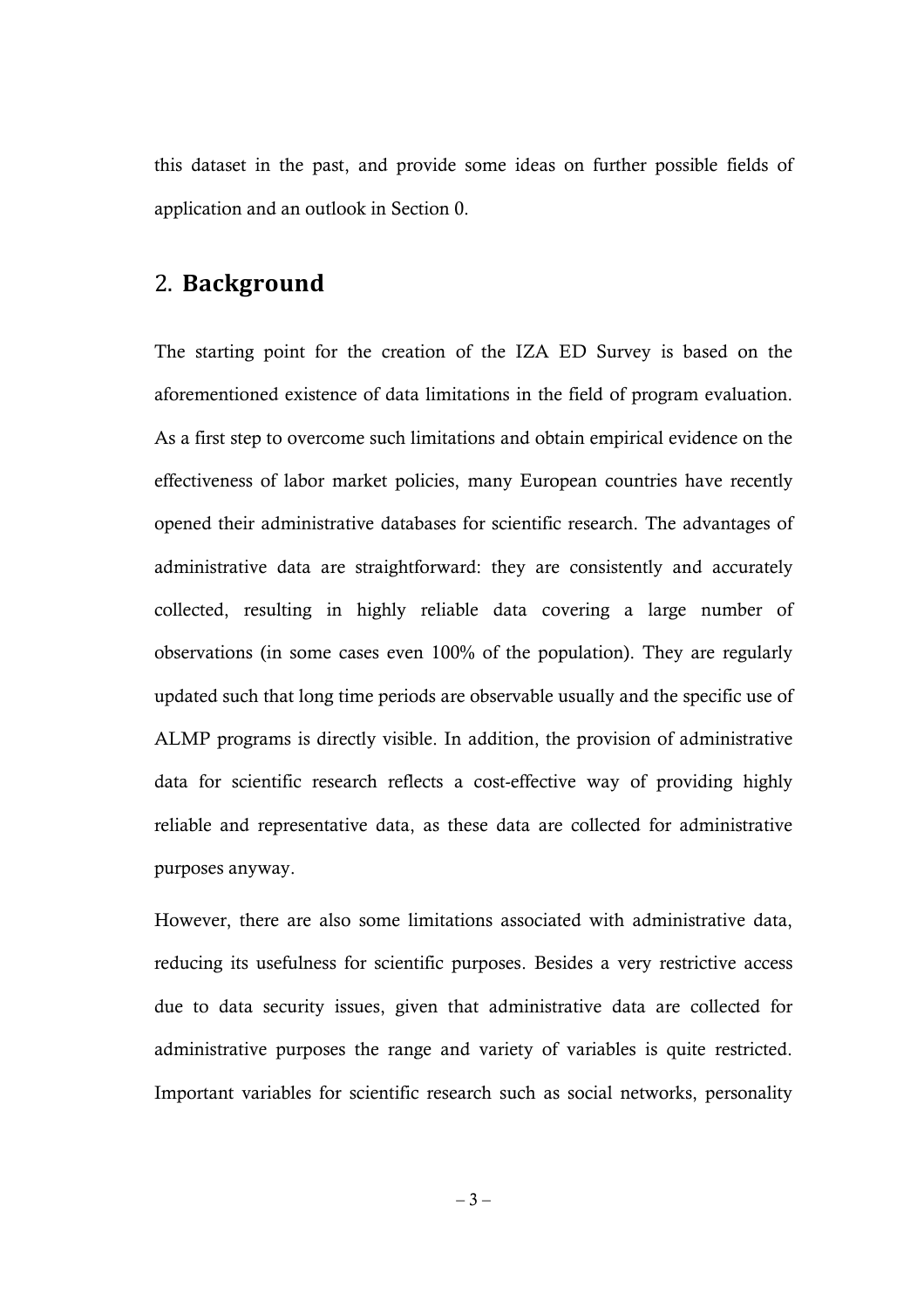this dataset in the past, and provide some ideas on further possible fields of application and an outlook in Section 0.

# 2. **Background**

The starting point for the creation of the IZA ED Survey is based on the aforementioned existence of data limitations in the field of program evaluation. As a first step to overcome such limitations and obtain empirical evidence on the effectiveness of labor market policies, many European countries have recently opened their administrative databases for scientific research. The advantages of administrative data are straightforward: they are consistently and accurately collected, resulting in highly reliable data covering a large number of observations (in some cases even 100% of the population). They are regularly updated such that long time periods are observable usually and the specific use of ALMP programs is directly visible. In addition, the provision of administrative data for scientific research reflects a cost-effective way of providing highly reliable and representative data, as these data are collected for administrative purposes anyway.

However, there are also some limitations associated with administrative data, reducing its usefulness for scientific purposes. Besides a very restrictive access due to data security issues, given that administrative data are collected for administrative purposes the range and variety of variables is quite restricted. Important variables for scientific research such as social networks, personality

 $-3-$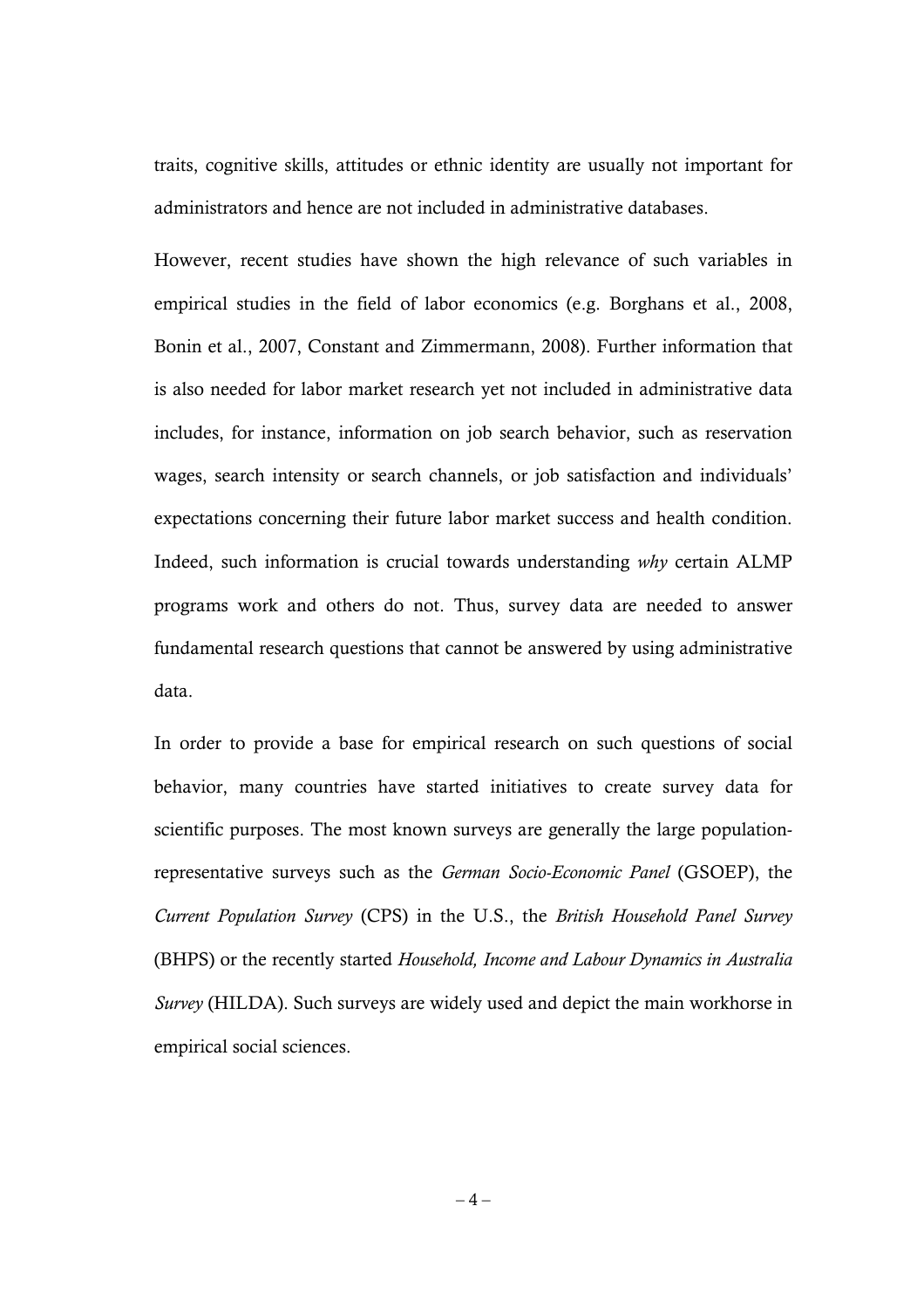traits, cognitive skills, attitudes or ethnic identity are usually not important for administrators and hence are not included in administrative databases.

However, recent studies have shown the high relevance of such variables in empirical studies in the field of labor economics (e.g. Borghans et al., 2008, Bonin et al., 2007, Constant and Zimmermann, 2008). Further information that is also needed for labor market research yet not included in administrative data includes, for instance, information on job search behavior, such as reservation wages, search intensity or search channels, or job satisfaction and individuals' expectations concerning their future labor market success and health condition. Indeed, such information is crucial towards understanding *why* certain ALMP programs work and others do not. Thus, survey data are needed to answer fundamental research questions that cannot be answered by using administrative data.

In order to provide a base for empirical research on such questions of social behavior, many countries have started initiatives to create survey data for scientific purposes. The most known surveys are generally the large populationrepresentative surveys such as the *German Socio-Economic Panel* (GSOEP), the *Current Population Survey* (CPS) in the U.S., the *British Household Panel Survey* (BHPS) or the recently started *Household, Income and Labour Dynamics in Australia Survey* (HILDA). Such surveys are widely used and depict the main workhorse in empirical social sciences.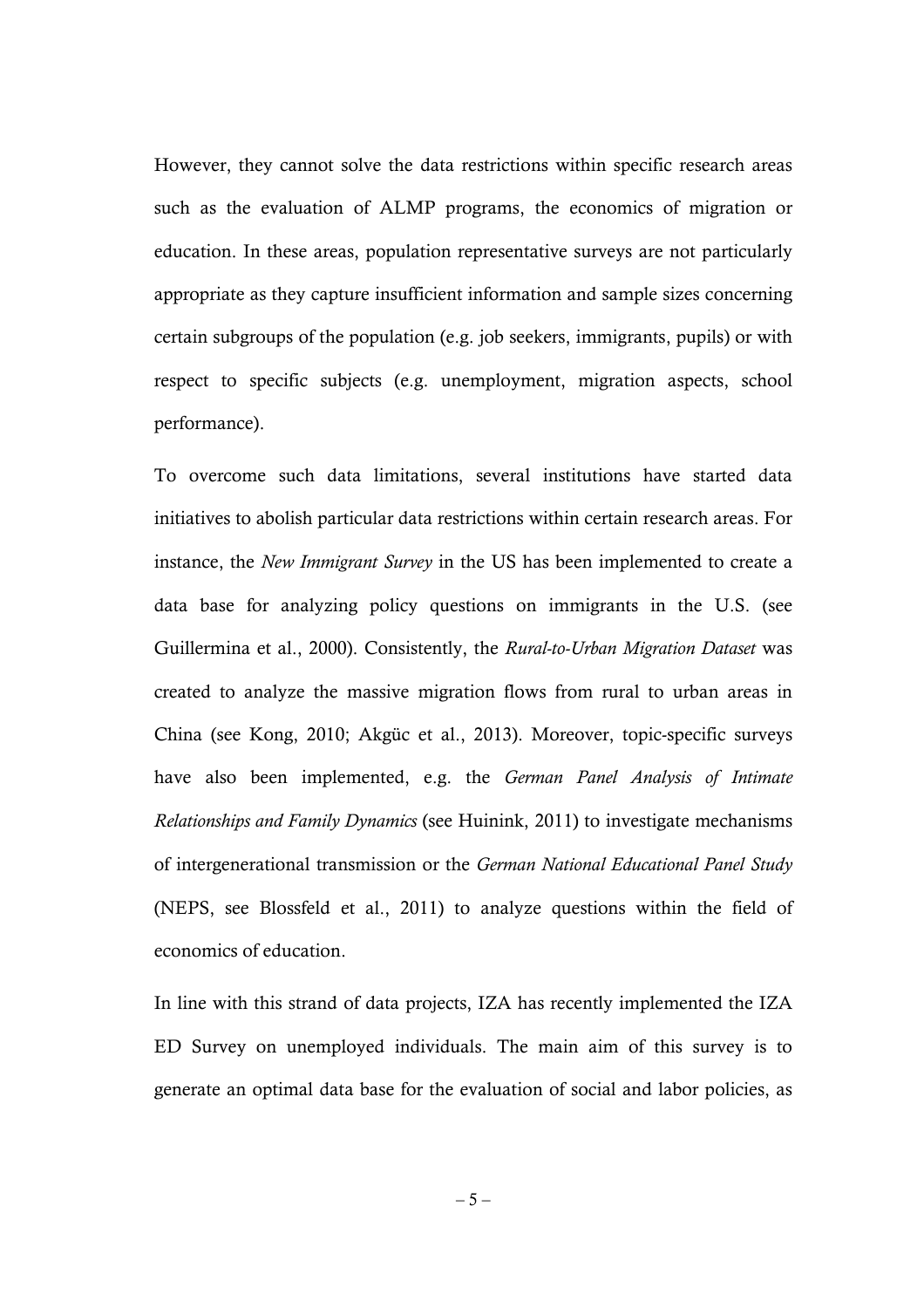However, they cannot solve the data restrictions within specific research areas such as the evaluation of ALMP programs, the economics of migration or education. In these areas, population representative surveys are not particularly appropriate as they capture insufficient information and sample sizes concerning certain subgroups of the population (e.g. job seekers, immigrants, pupils) or with respect to specific subjects (e.g. unemployment, migration aspects, school performance).

To overcome such data limitations, several institutions have started data initiatives to abolish particular data restrictions within certain research areas. For instance, the *New Immigrant Survey* in the US has been implemented to create a data base for analyzing policy questions on immigrants in the U.S. (see Guillermina et al., 2000). Consistently, the *Rural-to-Urban Migration Dataset* was created to analyze the massive migration flows from rural to urban areas in China (see Kong, 2010; Akgüc et al., 2013). Moreover, topic-specific surveys have also been implemented, e.g. the *German Panel Analysis of Intimate Relationships and Family Dynamics* (see Huinink, 2011) to investigate mechanisms of intergenerational transmission or the *German National Educational Panel Study* (NEPS, see Blossfeld et al., 2011) to analyze questions within the field of economics of education.

In line with this strand of data projects, IZA has recently implemented the IZA ED Survey on unemployed individuals. The main aim of this survey is to generate an optimal data base for the evaluation of social and labor policies, as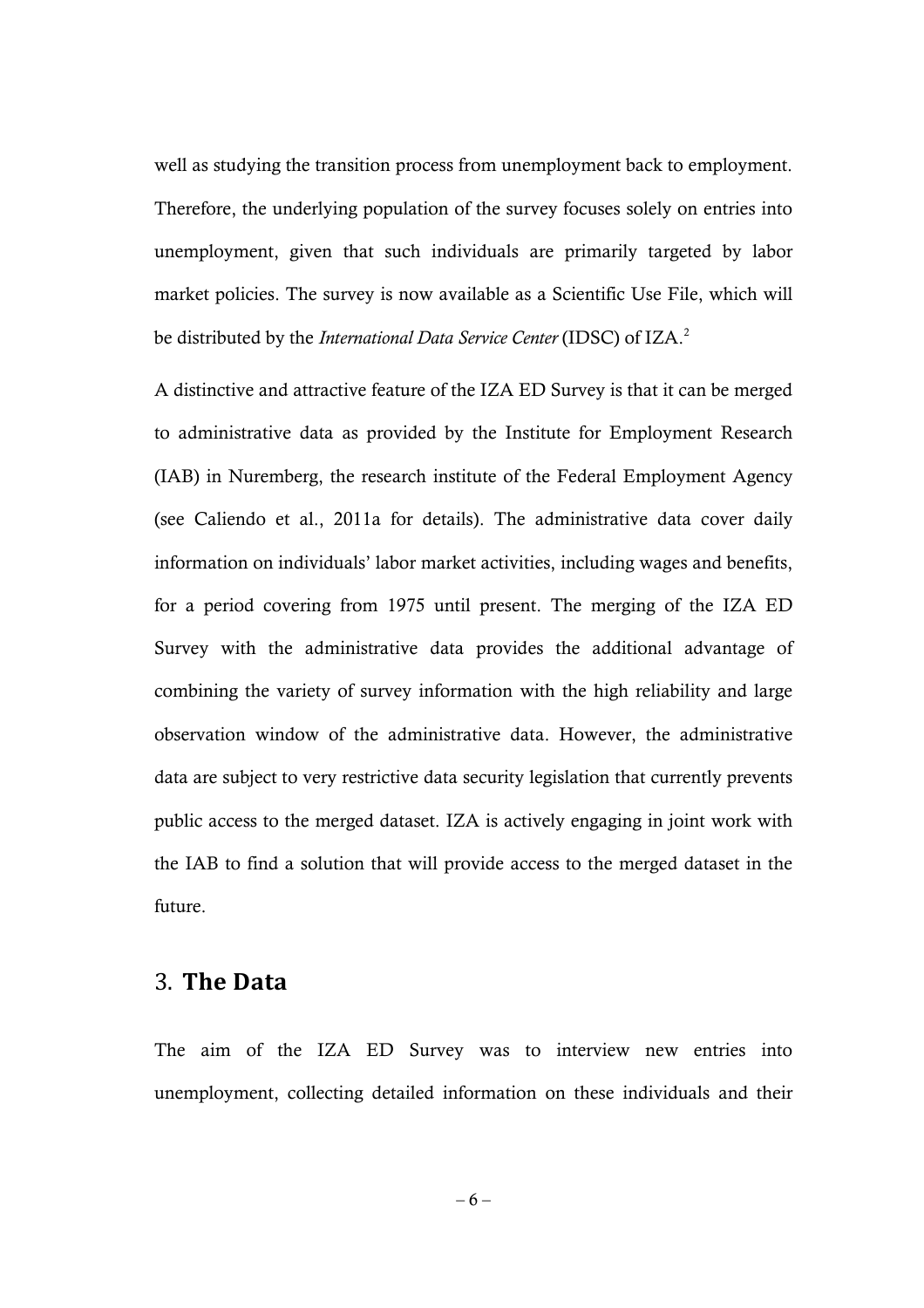well as studying the transition process from unemployment back to employment. Therefore, the underlying population of the survey focuses solely on entries into unemployment, given that such individuals are primarily targeted by labor market policies. The survey is now available as a Scientific Use File, which will be distributed by the *International Data Service Center* (IDSC) of IZA.<sup>2</sup>

A distinctive and attractive feature of the IZA ED Survey is that it can be merged to administrative data as provided by the Institute for Employment Research (IAB) in Nuremberg, the research institute of the Federal Employment Agency (see Caliendo et al., 2011a for details). The administrative data cover daily information on individuals' labor market activities, including wages and benefits, for a period covering from 1975 until present. The merging of the IZA ED Survey with the administrative data provides the additional advantage of combining the variety of survey information with the high reliability and large observation window of the administrative data. However, the administrative data are subject to very restrictive data security legislation that currently prevents public access to the merged dataset. IZA is actively engaging in joint work with the IAB to find a solution that will provide access to the merged dataset in the future.

### 3. **The Data**

The aim of the IZA ED Survey was to interview new entries into unemployment, collecting detailed information on these individuals and their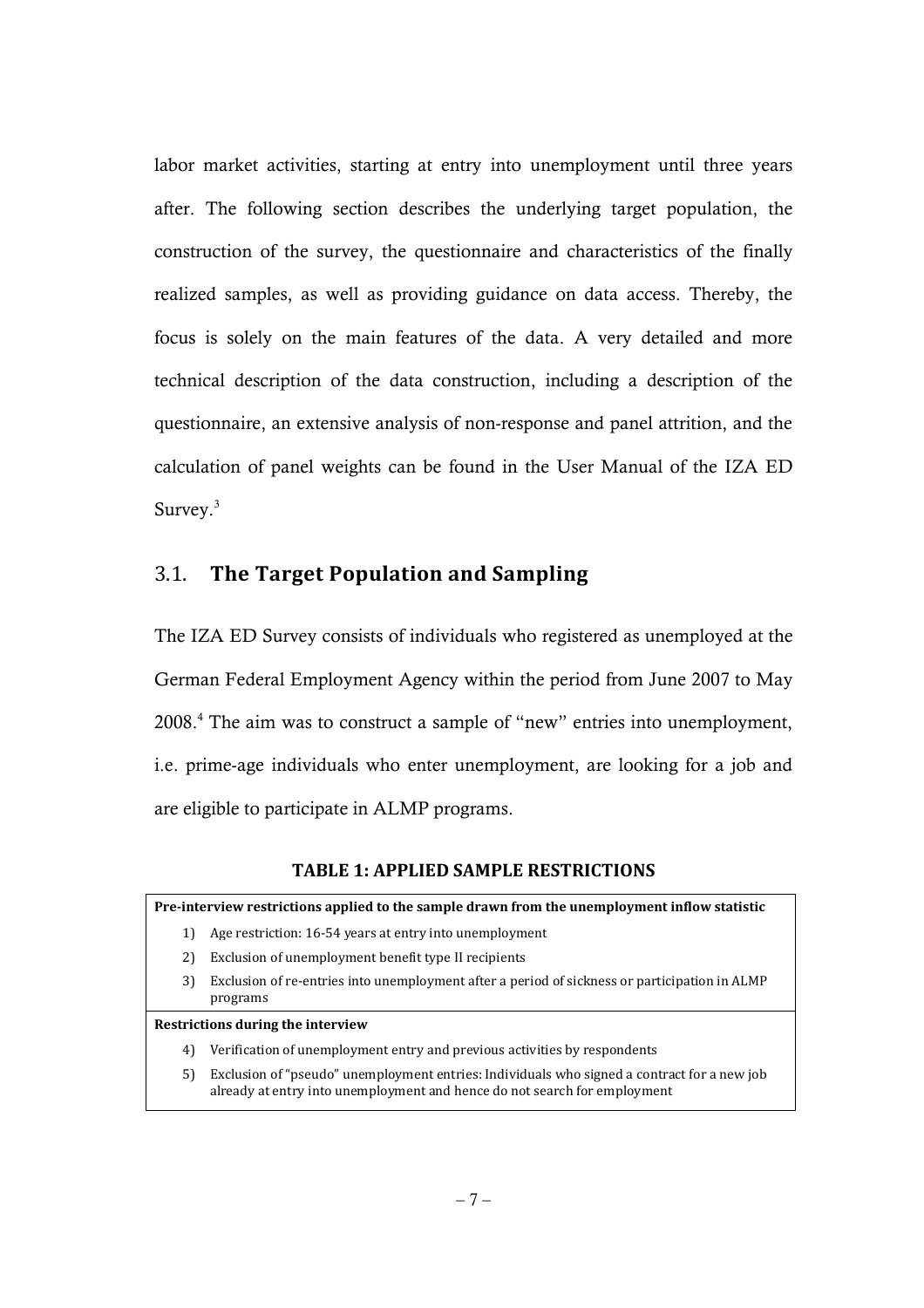labor market activities, starting at entry into unemployment until three years after. The following section describes the underlying target population, the construction of the survey, the questionnaire and characteristics of the finally realized samples, as well as providing guidance on data access. Thereby, the focus is solely on the main features of the data. A very detailed and more technical description of the data construction, including a description of the questionnaire, an extensive analysis of non-response and panel attrition, and the calculation of panel weights can be found in the User Manual of the IZA ED Survey.<sup>3</sup>

### 3.1. **The Target Population and Sampling**

The IZA ED Survey consists of individuals who registered as unemployed at the German Federal Employment Agency within the period from June 2007 to May 2008.<sup>4</sup> The aim was to construct a sample of "new" entries into unemployment, i.e. prime-age individuals who enter unemployment, are looking for a job and are eligible to participate in ALMP programs.

#### **TABLE 1: APPLIED SAMPLE RESTRICTIONS**

#### **Pre-interview restrictions applied to the sample drawn from the unemployment inflow statistic**

- 1) Age restriction: 16-54 years at entry into unemployment
- 2) Exclusion of unemployment benefit type II recipients
- 3) Exclusion of re-entries into unemployment after a period of sickness or participation in ALMP programs

#### **Restrictions during the interview**

- 4) Verification of unemployment entry and previous activities by respondents
- 5) Exclusion of "pseudo" unemployment entries: Individuals who signed a contract for a new job already at entry into unemployment and hence do not search for employment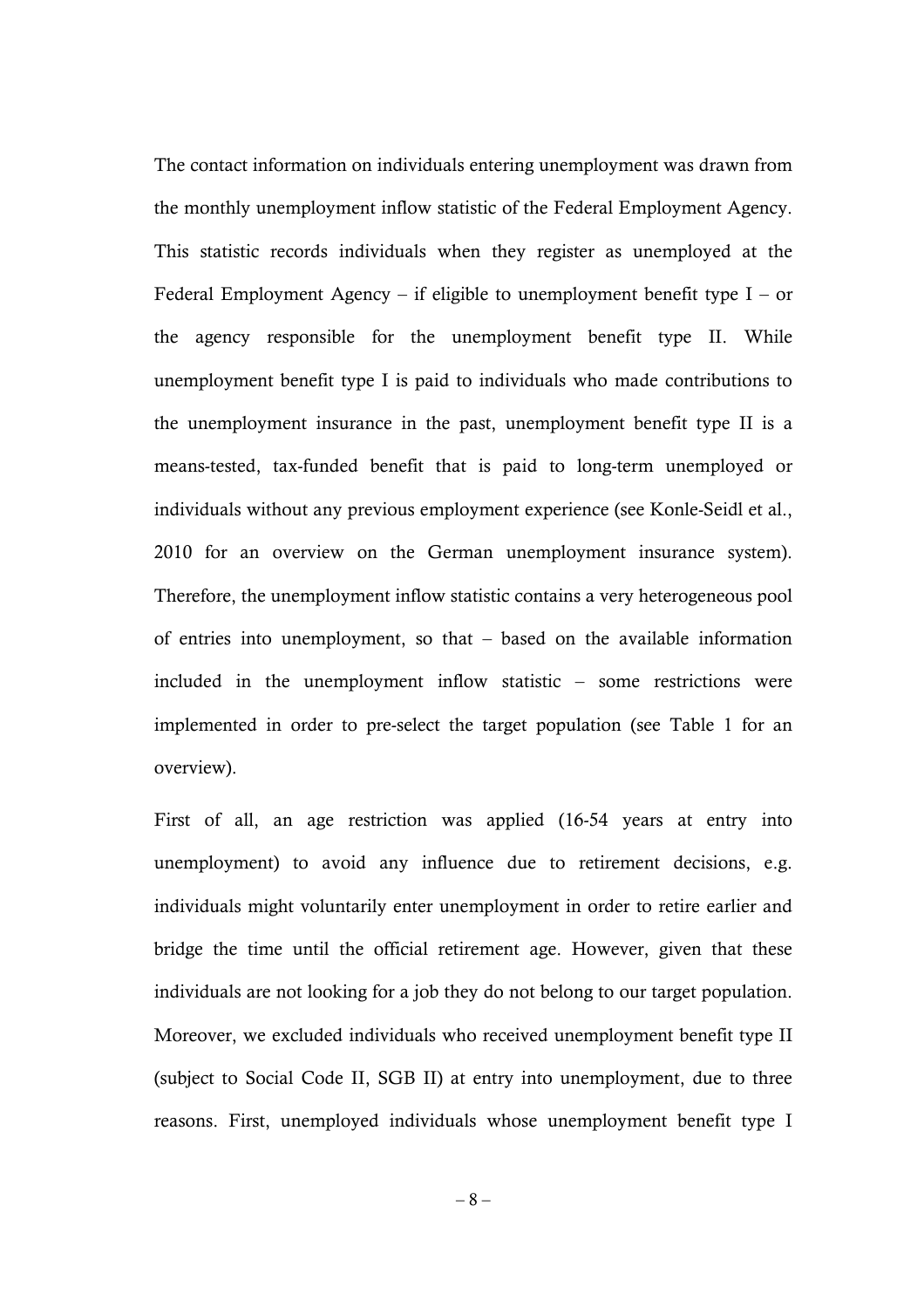The contact information on individuals entering unemployment was drawn from the monthly unemployment inflow statistic of the Federal Employment Agency. This statistic records individuals when they register as unemployed at the Federal Employment Agency – if eligible to unemployment benefit type  $I$  – or the agency responsible for the unemployment benefit type II. While unemployment benefit type I is paid to individuals who made contributions to the unemployment insurance in the past, unemployment benefit type II is a means-tested, tax-funded benefit that is paid to long-term unemployed or individuals without any previous employment experience (see Konle-Seidl et al., 2010 for an overview on the German unemployment insurance system). Therefore, the unemployment inflow statistic contains a very heterogeneous pool of entries into unemployment, so that – based on the available information included in the unemployment inflow statistic – some restrictions were implemented in order to pre-select the target population (see Table 1 for an overview).

First of all, an age restriction was applied (16-54 years at entry into unemployment) to avoid any influence due to retirement decisions, e.g. individuals might voluntarily enter unemployment in order to retire earlier and bridge the time until the official retirement age. However, given that these individuals are not looking for a job they do not belong to our target population. Moreover, we excluded individuals who received unemployment benefit type II (subject to Social Code II, SGB II) at entry into unemployment, due to three reasons. First, unemployed individuals whose unemployment benefit type I

– 8 –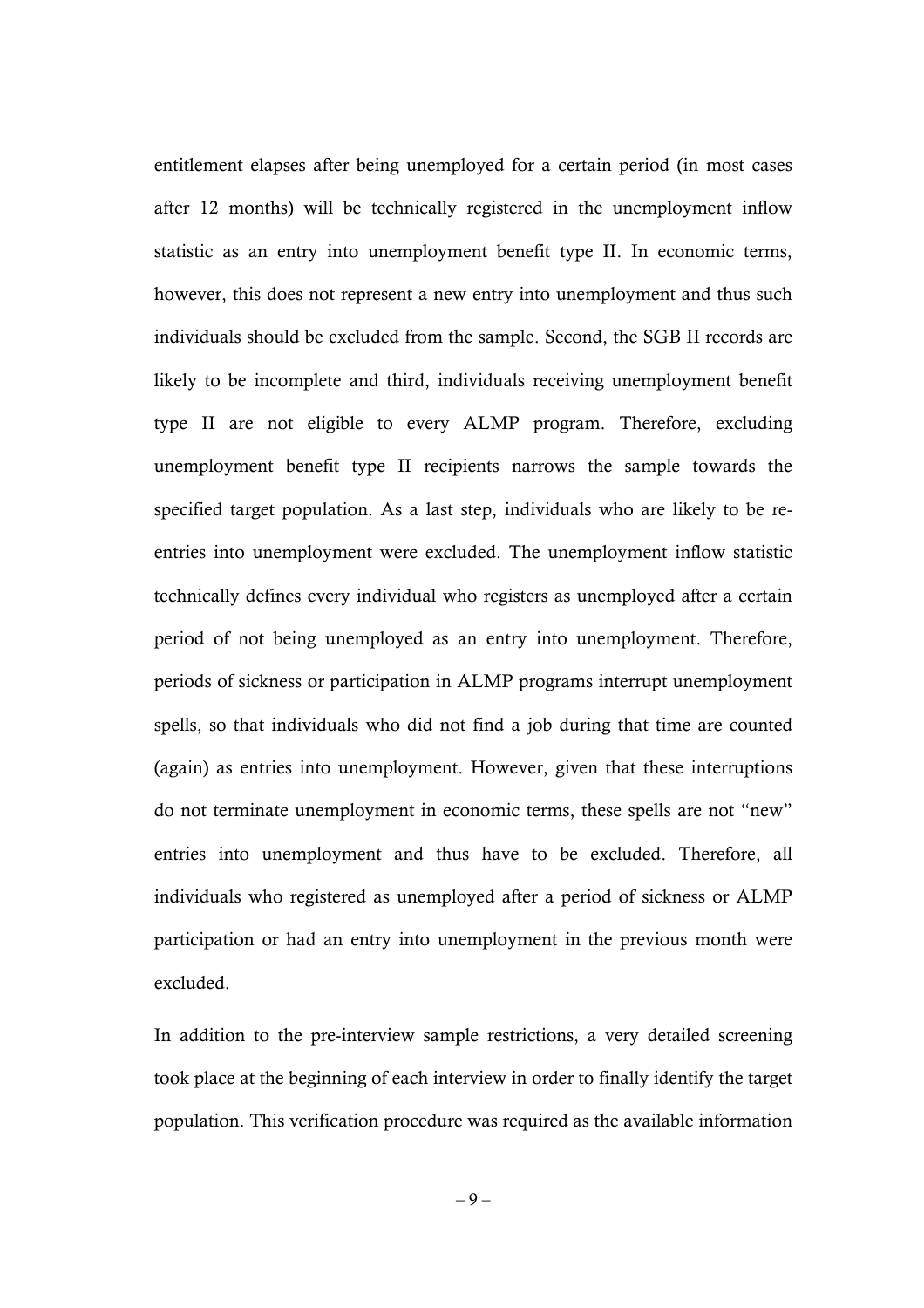entitlement elapses after being unemployed for a certain period (in most cases after 12 months) will be technically registered in the unemployment inflow statistic as an entry into unemployment benefit type II. In economic terms, however, this does not represent a new entry into unemployment and thus such individuals should be excluded from the sample. Second, the SGB II records are likely to be incomplete and third, individuals receiving unemployment benefit type II are not eligible to every ALMP program. Therefore, excluding unemployment benefit type II recipients narrows the sample towards the specified target population. As a last step, individuals who are likely to be reentries into unemployment were excluded. The unemployment inflow statistic technically defines every individual who registers as unemployed after a certain period of not being unemployed as an entry into unemployment. Therefore, periods of sickness or participation in ALMP programs interrupt unemployment spells, so that individuals who did not find a job during that time are counted (again) as entries into unemployment. However, given that these interruptions do not terminate unemployment in economic terms, these spells are not "new" entries into unemployment and thus have to be excluded. Therefore, all individuals who registered as unemployed after a period of sickness or ALMP participation or had an entry into unemployment in the previous month were excluded.

In addition to the pre-interview sample restrictions, a very detailed screening took place at the beginning of each interview in order to finally identify the target population. This verification procedure was required as the available information

– 9 –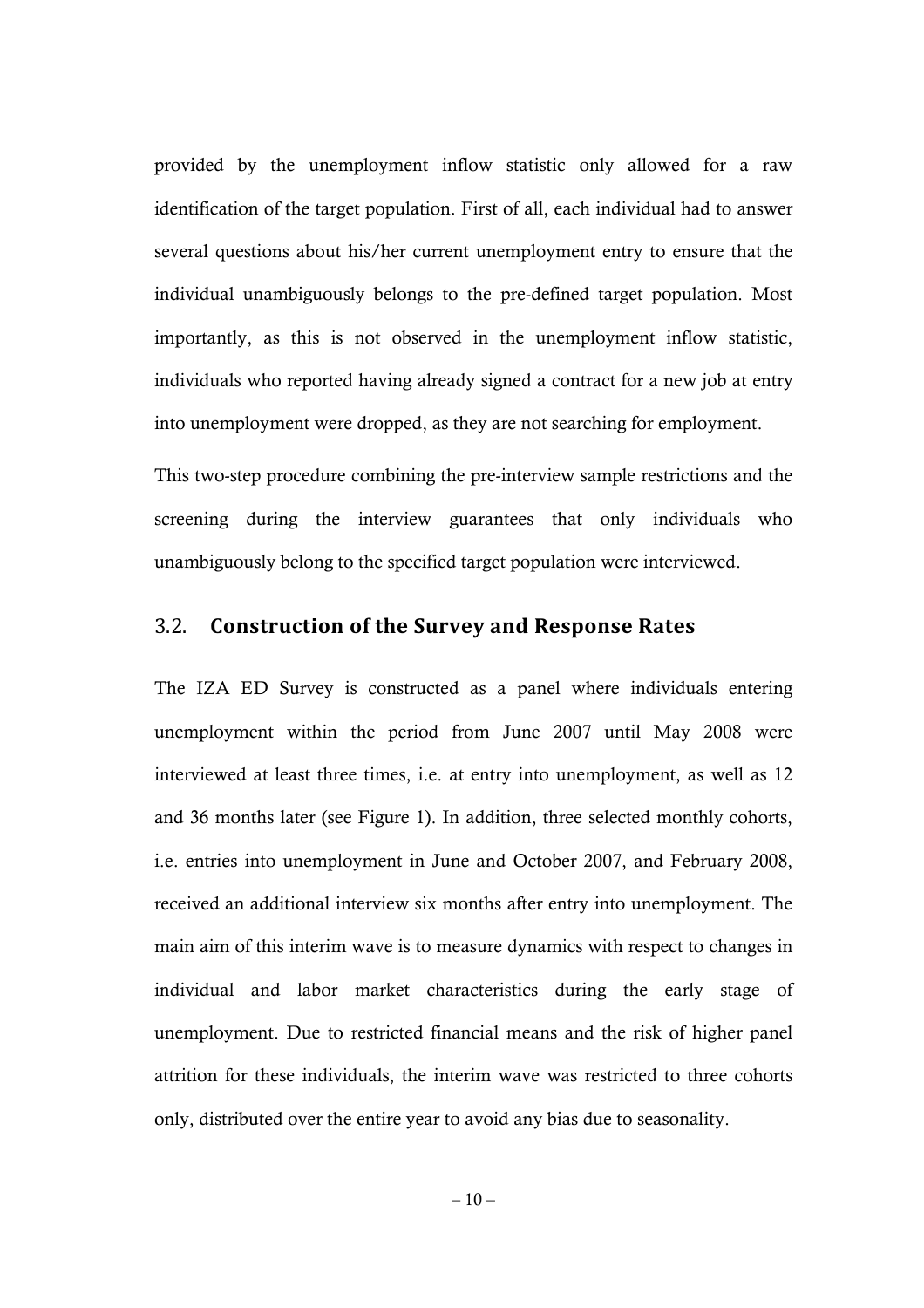provided by the unemployment inflow statistic only allowed for a raw identification of the target population. First of all, each individual had to answer several questions about his/her current unemployment entry to ensure that the individual unambiguously belongs to the pre-defined target population. Most importantly, as this is not observed in the unemployment inflow statistic, individuals who reported having already signed a contract for a new job at entry into unemployment were dropped, as they are not searching for employment.

This two-step procedure combining the pre-interview sample restrictions and the screening during the interview guarantees that only individuals who unambiguously belong to the specified target population were interviewed.

### 3.2. **Construction of the Survey and Response Rates**

The IZA ED Survey is constructed as a panel where individuals entering unemployment within the period from June 2007 until May 2008 were interviewed at least three times, i.e. at entry into unemployment, as well as 12 and 36 months later (see Figure 1). In addition, three selected monthly cohorts, i.e. entries into unemployment in June and October 2007, and February 2008, received an additional interview six months after entry into unemployment. The main aim of this interim wave is to measure dynamics with respect to changes in individual and labor market characteristics during the early stage of unemployment. Due to restricted financial means and the risk of higher panel attrition for these individuals, the interim wave was restricted to three cohorts only, distributed over the entire year to avoid any bias due to seasonality.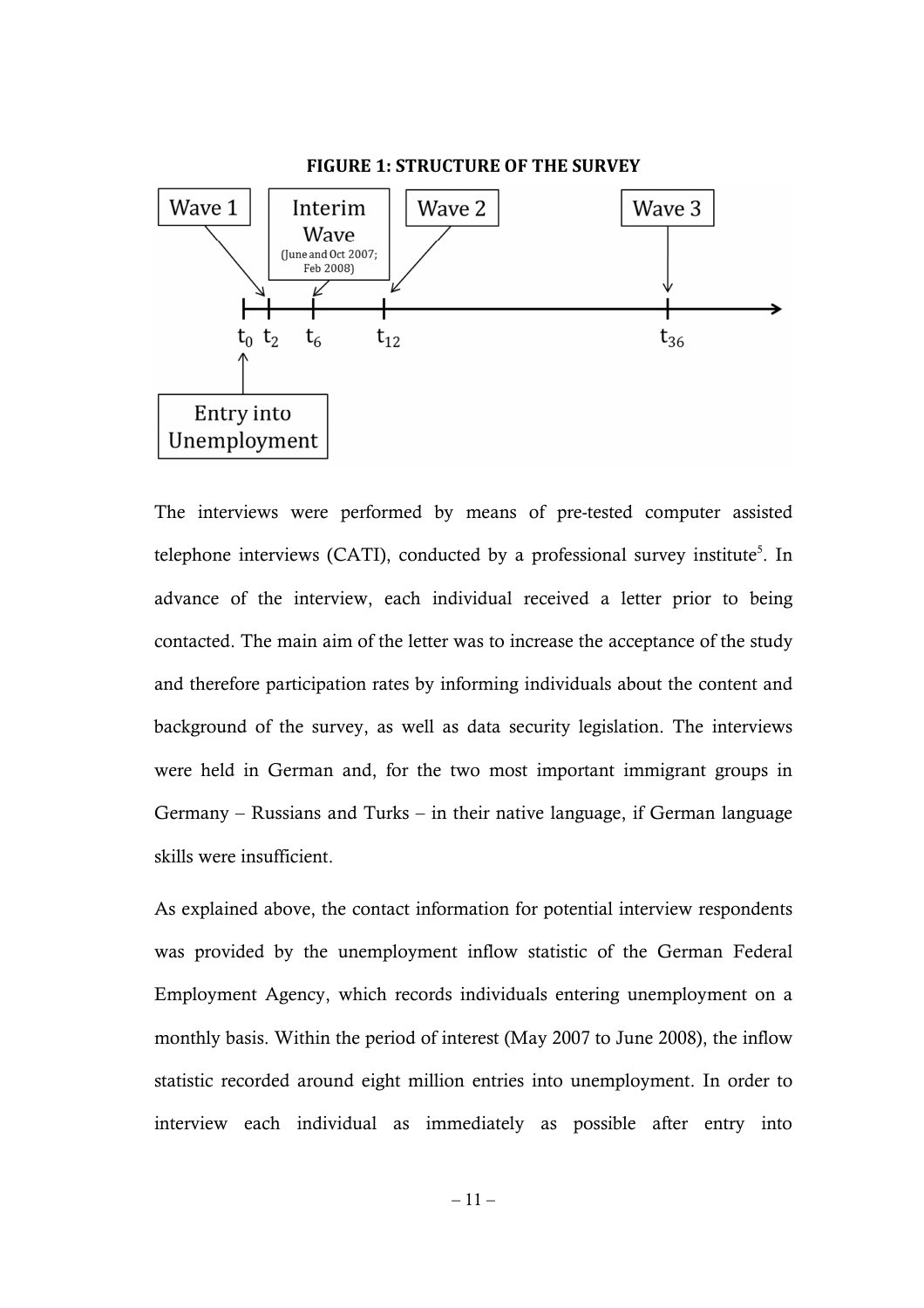

The interviews were performed by means of pre-tested computer assisted telephone interviews (CATI), conducted by a professional survey institute<sup>5</sup>. In advance of the interview, each individual received a letter prior to being contacted. The main aim of the letter was to increase the acceptance of the study and therefore participation rates by informing individuals about the content and background of the survey, as well as data security legislation. The interviews were held in German and, for the two most important immigrant groups in Germany – Russians and Turks – in their native language, if German language skills were insufficient.

As explained above, the contact information for potential interview respondents was provided by the unemployment inflow statistic of the German Federal Employment Agency, which records individuals entering unemployment on a monthly basis. Within the period of interest (May 2007 to June 2008), the inflow statistic recorded around eight million entries into unemployment. In order to interview each individual as immediately as possible after entry into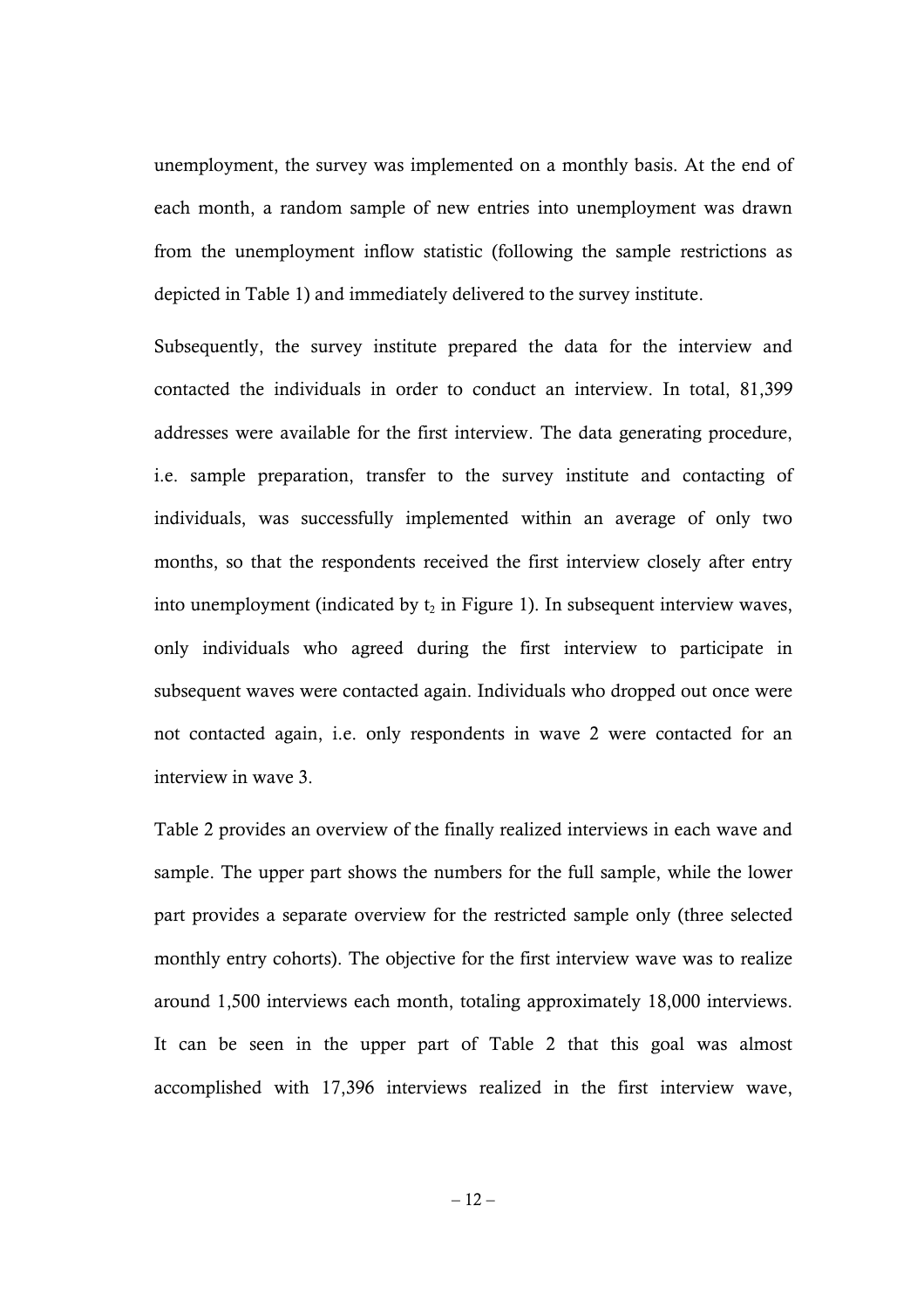unemployment, the survey was implemented on a monthly basis. At the end of each month, a random sample of new entries into unemployment was drawn from the unemployment inflow statistic (following the sample restrictions as depicted in Table 1) and immediately delivered to the survey institute.

Subsequently, the survey institute prepared the data for the interview and contacted the individuals in order to conduct an interview. In total, 81,399 addresses were available for the first interview. The data generating procedure, i.e. sample preparation, transfer to the survey institute and contacting of individuals, was successfully implemented within an average of only two months, so that the respondents received the first interview closely after entry into unemployment (indicated by  $t_2$  in Figure 1). In subsequent interview waves, only individuals who agreed during the first interview to participate in subsequent waves were contacted again. Individuals who dropped out once were not contacted again, i.e. only respondents in wave 2 were contacted for an interview in wave 3.

Table 2 provides an overview of the finally realized interviews in each wave and sample. The upper part shows the numbers for the full sample, while the lower part provides a separate overview for the restricted sample only (three selected monthly entry cohorts). The objective for the first interview wave was to realize around 1,500 interviews each month, totaling approximately 18,000 interviews. It can be seen in the upper part of Table 2 that this goal was almost accomplished with 17,396 interviews realized in the first interview wave,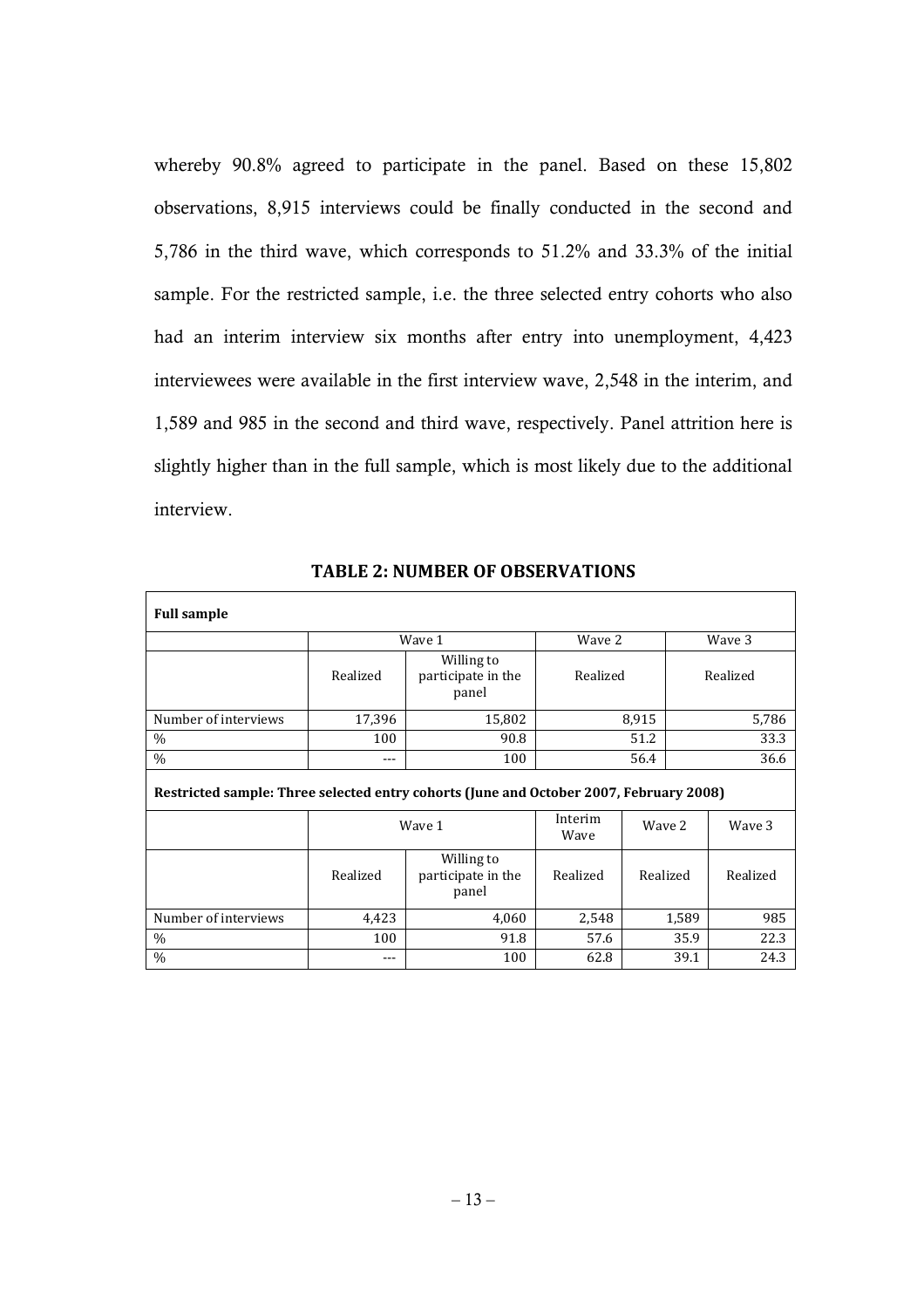whereby 90.8% agreed to participate in the panel. Based on these 15,802 observations, 8,915 interviews could be finally conducted in the second and 5,786 in the third wave, which corresponds to 51.2% and 33.3% of the initial sample. For the restricted sample, i.e. the three selected entry cohorts who also had an interim interview six months after entry into unemployment, 4,423 interviewees were available in the first interview wave, 2,548 in the interim, and 1,589 and 985 in the second and third wave, respectively. Panel attrition here is slightly higher than in the full sample, which is most likely due to the additional interview.

| <b>Full sample</b>                                                                     |          |                                           |          |          |        |          |  |
|----------------------------------------------------------------------------------------|----------|-------------------------------------------|----------|----------|--------|----------|--|
|                                                                                        | Wave 1   |                                           | Wave 2   |          | Wave 3 |          |  |
|                                                                                        | Realized | Willing to<br>participate in the<br>panel | Realized |          |        | Realized |  |
| Number of interviews                                                                   | 17,396   | 15,802                                    |          | 8,915    |        | 5,786    |  |
| $\%$                                                                                   | 100      | 90.8                                      | 51.2     |          |        | 33.3     |  |
| $\%$                                                                                   | ---      | 100                                       | 56.4     |          | 36.6   |          |  |
| Restricted sample: Three selected entry cohorts (June and October 2007, February 2008) |          |                                           |          |          |        |          |  |
|                                                                                        | Wave 1   | Interim<br>Wave                           | Wave 2   |          | Wave 3 |          |  |
|                                                                                        | Realized | Willing to<br>participate in the<br>panel | Realized | Realized |        | Realized |  |
| Number of interviews                                                                   | 4,423    | 4,060                                     | 2,548    |          | 1,589  | 985      |  |
| $\%$                                                                                   | 100      | 91.8                                      | 57.6     |          | 35.9   | 22.3     |  |
| $\%$                                                                                   | $---$    | 100                                       | 62.8     |          | 39.1   | 24.3     |  |

**TABLE 2: NUMBER OF OBSERVATIONS**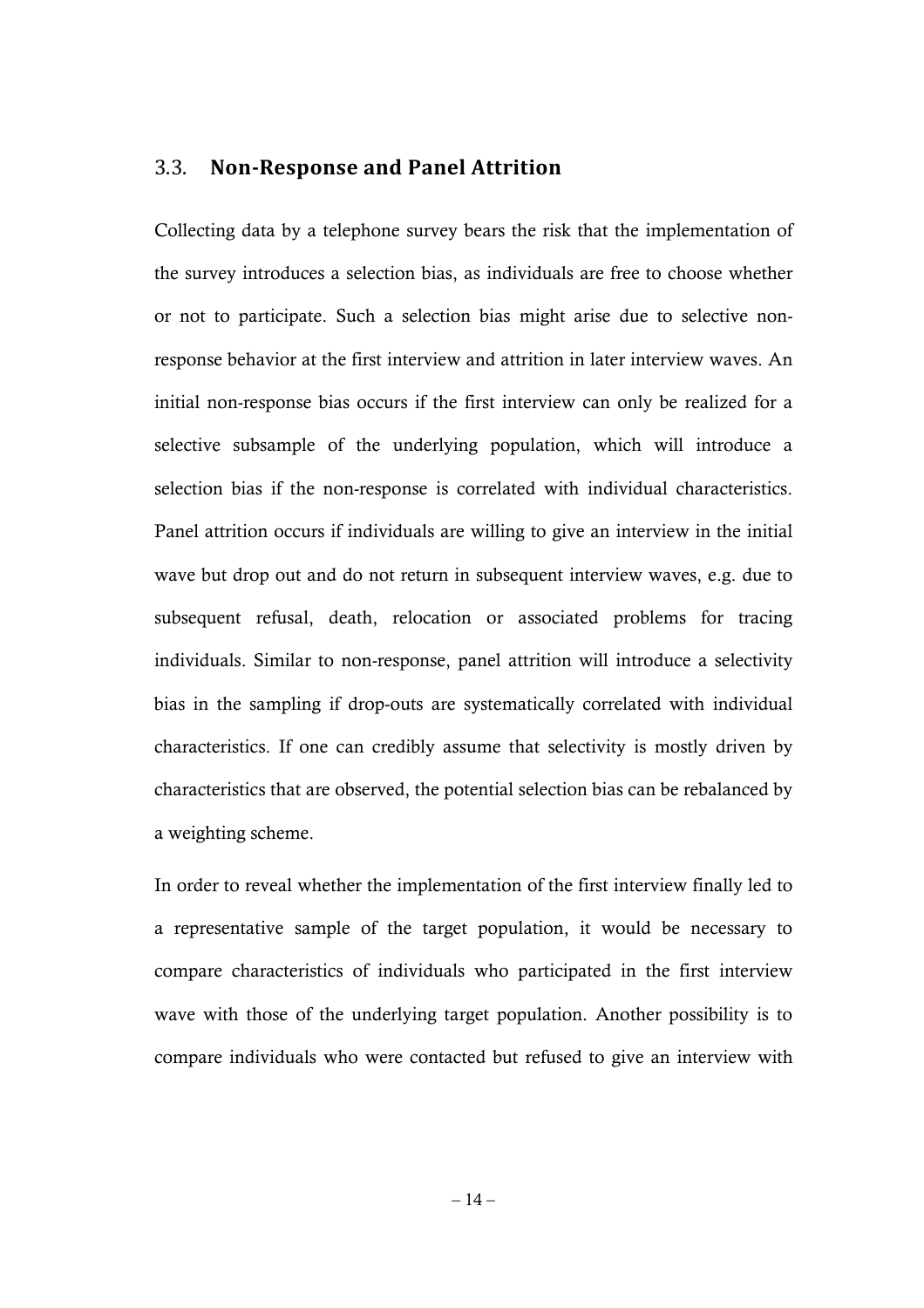### 3.3. **Non-Response and Panel Attrition**

Collecting data by a telephone survey bears the risk that the implementation of the survey introduces a selection bias, as individuals are free to choose whether or not to participate. Such a selection bias might arise due to selective nonresponse behavior at the first interview and attrition in later interview waves. An initial non-response bias occurs if the first interview can only be realized for a selective subsample of the underlying population, which will introduce a selection bias if the non-response is correlated with individual characteristics. Panel attrition occurs if individuals are willing to give an interview in the initial wave but drop out and do not return in subsequent interview waves, e.g. due to subsequent refusal, death, relocation or associated problems for tracing individuals. Similar to non-response, panel attrition will introduce a selectivity bias in the sampling if drop-outs are systematically correlated with individual characteristics. If one can credibly assume that selectivity is mostly driven by characteristics that are observed, the potential selection bias can be rebalanced by a weighting scheme.

In order to reveal whether the implementation of the first interview finally led to a representative sample of the target population, it would be necessary to compare characteristics of individuals who participated in the first interview wave with those of the underlying target population. Another possibility is to compare individuals who were contacted but refused to give an interview with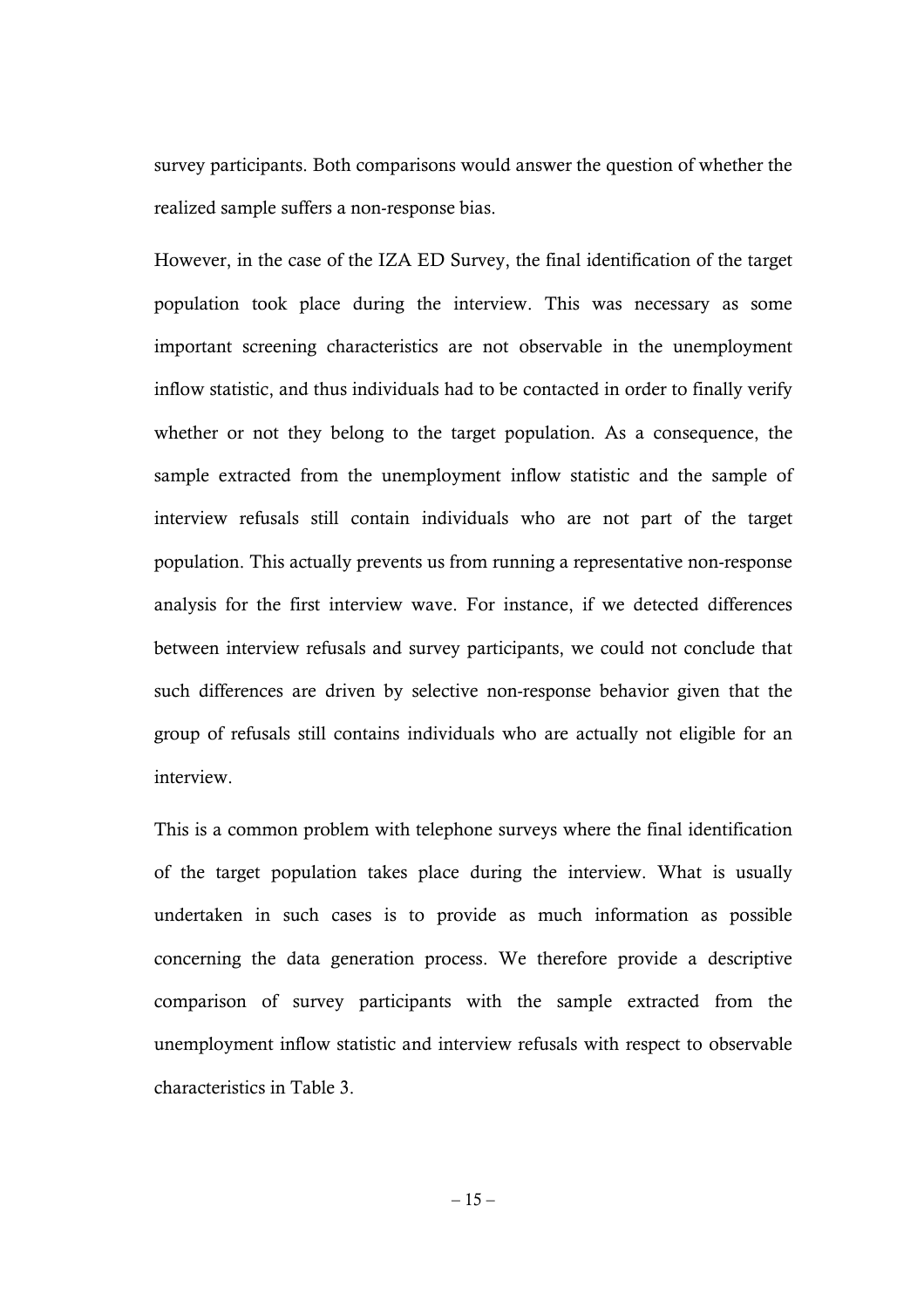survey participants. Both comparisons would answer the question of whether the realized sample suffers a non-response bias.

However, in the case of the IZA ED Survey, the final identification of the target population took place during the interview. This was necessary as some important screening characteristics are not observable in the unemployment inflow statistic, and thus individuals had to be contacted in order to finally verify whether or not they belong to the target population. As a consequence, the sample extracted from the unemployment inflow statistic and the sample of interview refusals still contain individuals who are not part of the target population. This actually prevents us from running a representative non-response analysis for the first interview wave. For instance, if we detected differences between interview refusals and survey participants, we could not conclude that such differences are driven by selective non-response behavior given that the group of refusals still contains individuals who are actually not eligible for an interview.

This is a common problem with telephone surveys where the final identification of the target population takes place during the interview. What is usually undertaken in such cases is to provide as much information as possible concerning the data generation process. We therefore provide a descriptive comparison of survey participants with the sample extracted from the unemployment inflow statistic and interview refusals with respect to observable characteristics in Table 3.

 $-15-$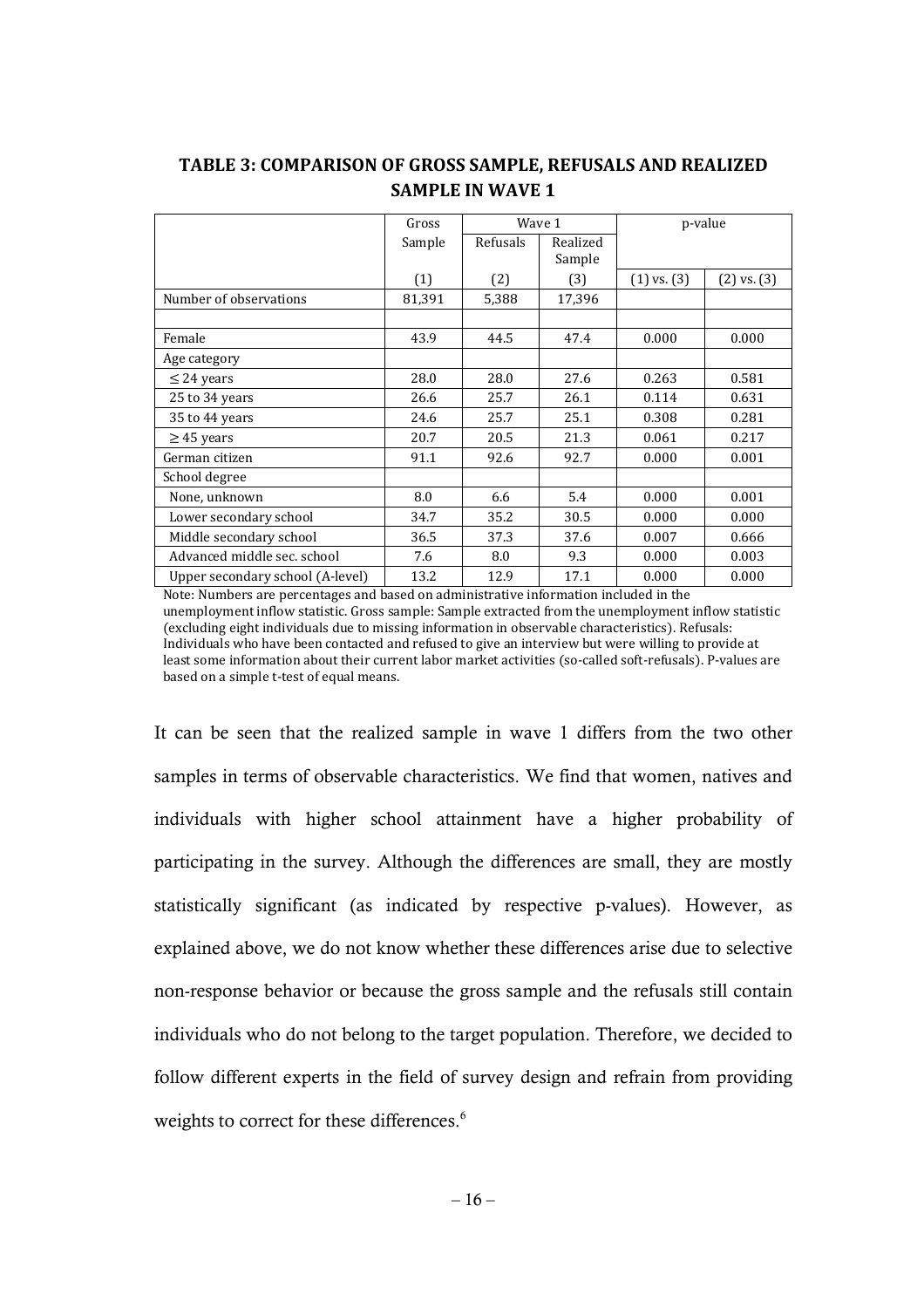|                                  | Gross  | Wave 1   |          | p-value         |                 |
|----------------------------------|--------|----------|----------|-----------------|-----------------|
|                                  | Sample | Refusals | Realized |                 |                 |
|                                  |        |          | Sample   |                 |                 |
|                                  | (1)    | (2)      | (3)      | $(1)$ vs. $(3)$ | $(2)$ vs. $(3)$ |
| Number of observations           | 81,391 | 5,388    | 17,396   |                 |                 |
|                                  |        |          |          |                 |                 |
| Female                           | 43.9   | 44.5     | 47.4     | 0.000           | 0.000           |
| Age category                     |        |          |          |                 |                 |
| $\leq$ 24 years                  | 28.0   | 28.0     | 27.6     | 0.263           | 0.581           |
| 25 to 34 years                   | 26.6   | 25.7     | 26.1     | 0.114           | 0.631           |
| 35 to 44 years                   | 24.6   | 25.7     | 25.1     | 0.308           | 0.281           |
| $\geq$ 45 years                  | 20.7   | 20.5     | 21.3     | 0.061           | 0.217           |
| German citizen                   | 91.1   | 92.6     | 92.7     | 0.000           | 0.001           |
| School degree                    |        |          |          |                 |                 |
| None, unknown                    | 8.0    | 6.6      | 5.4      | 0.000           | 0.001           |
| Lower secondary school           | 34.7   | 35.2     | 30.5     | 0.000           | 0.000           |
| Middle secondary school          | 36.5   | 37.3     | 37.6     | 0.007           | 0.666           |
| Advanced middle sec. school      | 7.6    | 8.0      | 9.3      | 0.000           | 0.003           |
| Upper secondary school (A-level) | 13.2   | 12.9     | 17.1     | 0.000           | 0.000           |

### **TABLE 3: COMPARISON OF GROSS SAMPLE, REFUSALS AND REALIZED SAMPLE IN WAVE 1**

Note: Numbers are percentages and based on administrative information included in the unemployment inflow statistic. Gross sample: Sample extracted from the unemployment inflow statistic (excluding eight individuals due to missing information in observable characteristics). Refusals: Individuals who have been contacted and refused to give an interview but were willing to provide at least some information about their current labor market activities (so-called soft-refusals). P-values are based on a simple t-test of equal means.

It can be seen that the realized sample in wave 1 differs from the two other samples in terms of observable characteristics. We find that women, natives and individuals with higher school attainment have a higher probability of participating in the survey. Although the differences are small, they are mostly statistically significant (as indicated by respective p-values). However, as explained above, we do not know whether these differences arise due to selective non-response behavior or because the gross sample and the refusals still contain individuals who do not belong to the target population. Therefore, we decided to follow different experts in the field of survey design and refrain from providing weights to correct for these differences.<sup>6</sup>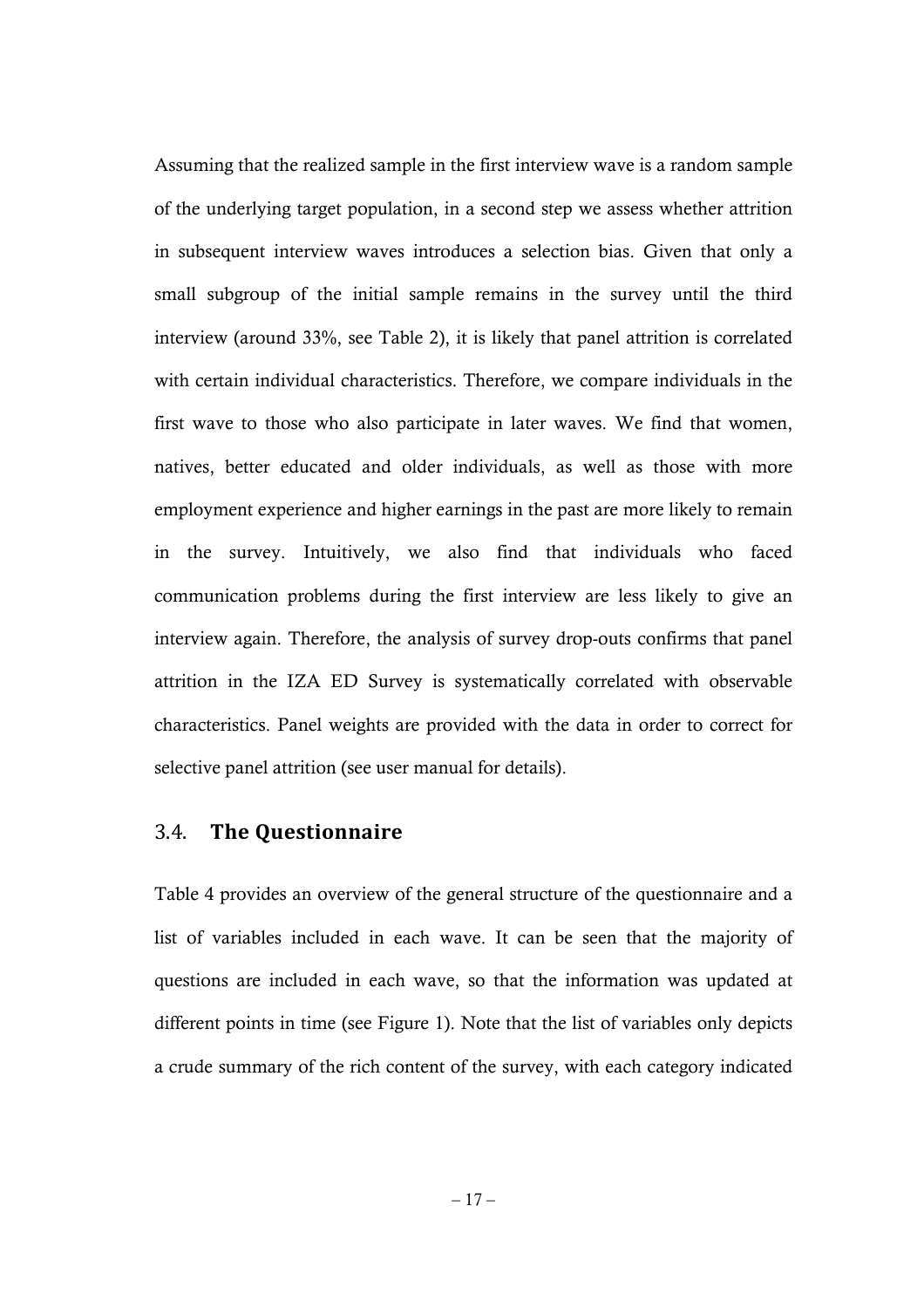Assuming that the realized sample in the first interview wave is a random sample of the underlying target population, in a second step we assess whether attrition in subsequent interview waves introduces a selection bias. Given that only a small subgroup of the initial sample remains in the survey until the third interview (around 33%, see Table 2), it is likely that panel attrition is correlated with certain individual characteristics. Therefore, we compare individuals in the first wave to those who also participate in later waves. We find that women, natives, better educated and older individuals, as well as those with more employment experience and higher earnings in the past are more likely to remain in the survey. Intuitively, we also find that individuals who faced communication problems during the first interview are less likely to give an interview again. Therefore, the analysis of survey drop-outs confirms that panel attrition in the IZA ED Survey is systematically correlated with observable characteristics. Panel weights are provided with the data in order to correct for selective panel attrition (see user manual for details).

### 3.4. **The Questionnaire**

Table 4 provides an overview of the general structure of the questionnaire and a list of variables included in each wave. It can be seen that the majority of questions are included in each wave, so that the information was updated at different points in time (see Figure 1). Note that the list of variables only depicts a crude summary of the rich content of the survey, with each category indicated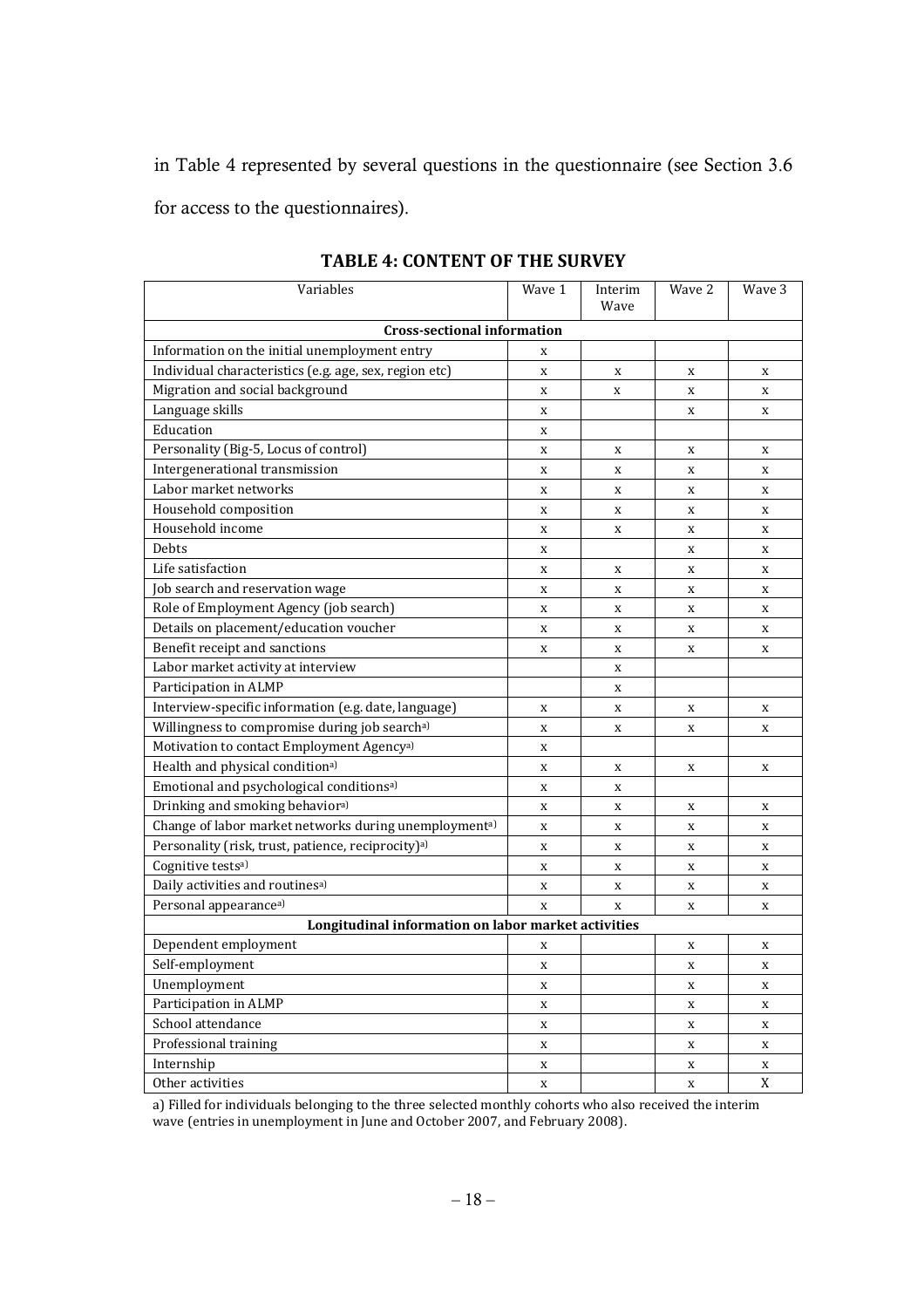in Table 4 represented by several questions in the questionnaire (see Section 3.6 for access to the questionnaires).

| Variables                                                      | Wave 1      | Interim<br>Wave | Wave 2      | Wave 3      |  |  |  |
|----------------------------------------------------------------|-------------|-----------------|-------------|-------------|--|--|--|
| <b>Cross-sectional information</b>                             |             |                 |             |             |  |  |  |
| Information on the initial unemployment entry                  | X           |                 |             |             |  |  |  |
| Individual characteristics (e.g. age, sex, region etc)         | $\mathbf x$ | X               | X           | X           |  |  |  |
| Migration and social background                                | X           | X               | X           | X           |  |  |  |
| Language skills                                                | $\mathbf X$ |                 | X           | $\mathbf X$ |  |  |  |
| Education                                                      | $\mathbf x$ |                 |             |             |  |  |  |
| Personality (Big-5, Locus of control)                          | $\mathbf x$ | X               | X           | X           |  |  |  |
| Intergenerational transmission                                 | $\mathbf x$ | $\mathbf X$     | $\mathbf x$ | $\mathbf X$ |  |  |  |
| Labor market networks                                          | $\mathbf x$ | X               | X           | X           |  |  |  |
| Household composition                                          | X           | X               | X           | X           |  |  |  |
| Household income                                               | $\mathbf x$ | X               | X           | $\mathbf X$ |  |  |  |
| Debts                                                          | $\mathbf X$ |                 | X           | X           |  |  |  |
| Life satisfaction                                              | X           | X               | X           | X           |  |  |  |
| Job search and reservation wage                                | $\mathbf x$ | $\mathbf x$     | $\mathbf x$ | $\mathbf x$ |  |  |  |
| Role of Employment Agency (job search)                         | $\mathbf x$ | $\mathbf X$     | X           | $\mathbf X$ |  |  |  |
| Details on placement/education voucher                         | $\mathbf x$ | X               | $\mathbf x$ | X           |  |  |  |
| Benefit receipt and sanctions                                  | $\mathbf x$ | X               | X           | $\mathbf X$ |  |  |  |
| Labor market activity at interview                             |             | X               |             |             |  |  |  |
| Participation in ALMP                                          |             | $\mathbf X$     |             |             |  |  |  |
| Interview-specific information (e.g. date, language)           | X           | X               | X           | X           |  |  |  |
| Willingness to compromise during job searcha)                  | $\mathbf x$ | $\mathbf X$     | X           | $\mathbf X$ |  |  |  |
| Motivation to contact Employment Agency <sup>a)</sup>          | $\mathbf x$ |                 |             |             |  |  |  |
| Health and physical conditional                                | $\mathbf x$ | X               | X           | $\mathbf X$ |  |  |  |
| Emotional and psychological conditionsa)                       | $\mathbf x$ | X               |             |             |  |  |  |
| Drinking and smoking behaviora)                                | $\mathbf x$ | $\mathbf X$     | X           | $\mathbf X$ |  |  |  |
| Change of labor market networks during unemploymenta)          | $\mathbf X$ | $\mathbf X$     | X           | X           |  |  |  |
| Personality (risk, trust, patience, reciprocity) <sup>a)</sup> | $\mathbf x$ | X               | X           | X           |  |  |  |
| Cognitive tests <sup>a)</sup>                                  | $\mathbf X$ | $\mathbf X$     | $\mathbf X$ | $\mathbf x$ |  |  |  |
| Daily activities and routinesa)                                | $\mathbf x$ | $\mathbf X$     | X           | $\mathbf X$ |  |  |  |
| Personal appearance <sup>a)</sup>                              | $\mathbf x$ | $\mathbf x$     | $\mathbf x$ | $\mathbf x$ |  |  |  |
| Longitudinal information on labor market activities            |             |                 |             |             |  |  |  |
| Dependent employment                                           | X           |                 | X           | X           |  |  |  |
| Self-employment                                                | $\mathbf X$ |                 | X           | X           |  |  |  |
| Unemployment                                                   | $\mathbf x$ |                 | X           | X           |  |  |  |
| Participation in ALMP                                          | $\mathbf x$ |                 | X           | X           |  |  |  |
| School attendance                                              | $\mathbf X$ |                 | $\mathbf X$ | $\mathbf x$ |  |  |  |
| Professional training                                          | $\mathbf x$ |                 | X           | $\mathbf x$ |  |  |  |
| Internship                                                     | X           |                 | X           | X           |  |  |  |
| Other activities                                               | X           |                 | X           | X           |  |  |  |

#### **TABLE 4: CONTENT OF THE SURVEY**

a) Filled for individuals belonging to the three selected monthly cohorts who also received the interim wave (entries in unemployment in June and October 2007, and February 2008).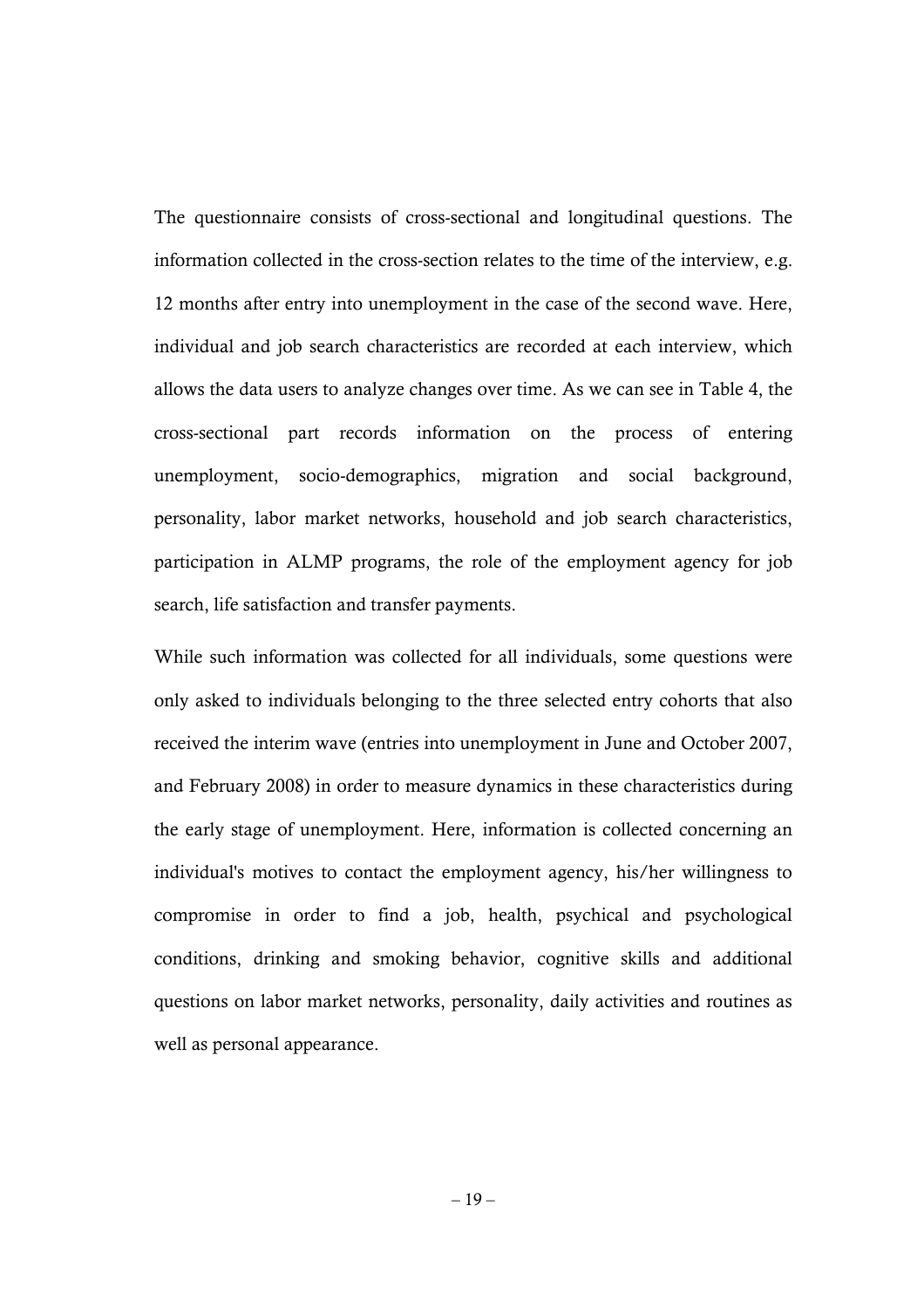The questionnaire consists of cross-sectional and longitudinal questions. The information collected in the cross-section relates to the time of the interview, e.g. 12 months after entry into unemployment in the case of the second wave. Here, individual and job search characteristics are recorded at each interview, which allows the data users to analyze changes over time. As we can see in Table 4, the cross-sectional part records information on the process of entering unemployment, socio-demographics, migration and social background, personality, labor market networks, household and job search characteristics, participation in ALMP programs, the role of the employment agency for job search, life satisfaction and transfer payments.

While such information was collected for all individuals, some questions were only asked to individuals belonging to the three selected entry cohorts that also received the interim wave (entries into unemployment in June and October 2007, and February 2008) in order to measure dynamics in these characteristics during the early stage of unemployment. Here, information is collected concerning an individual's motives to contact the employment agency, his/her willingness to compromise in order to find a job, health, psychical and psychological conditions, drinking and smoking behavior, cognitive skills and additional questions on labor market networks, personality, daily activities and routines as well as personal appearance.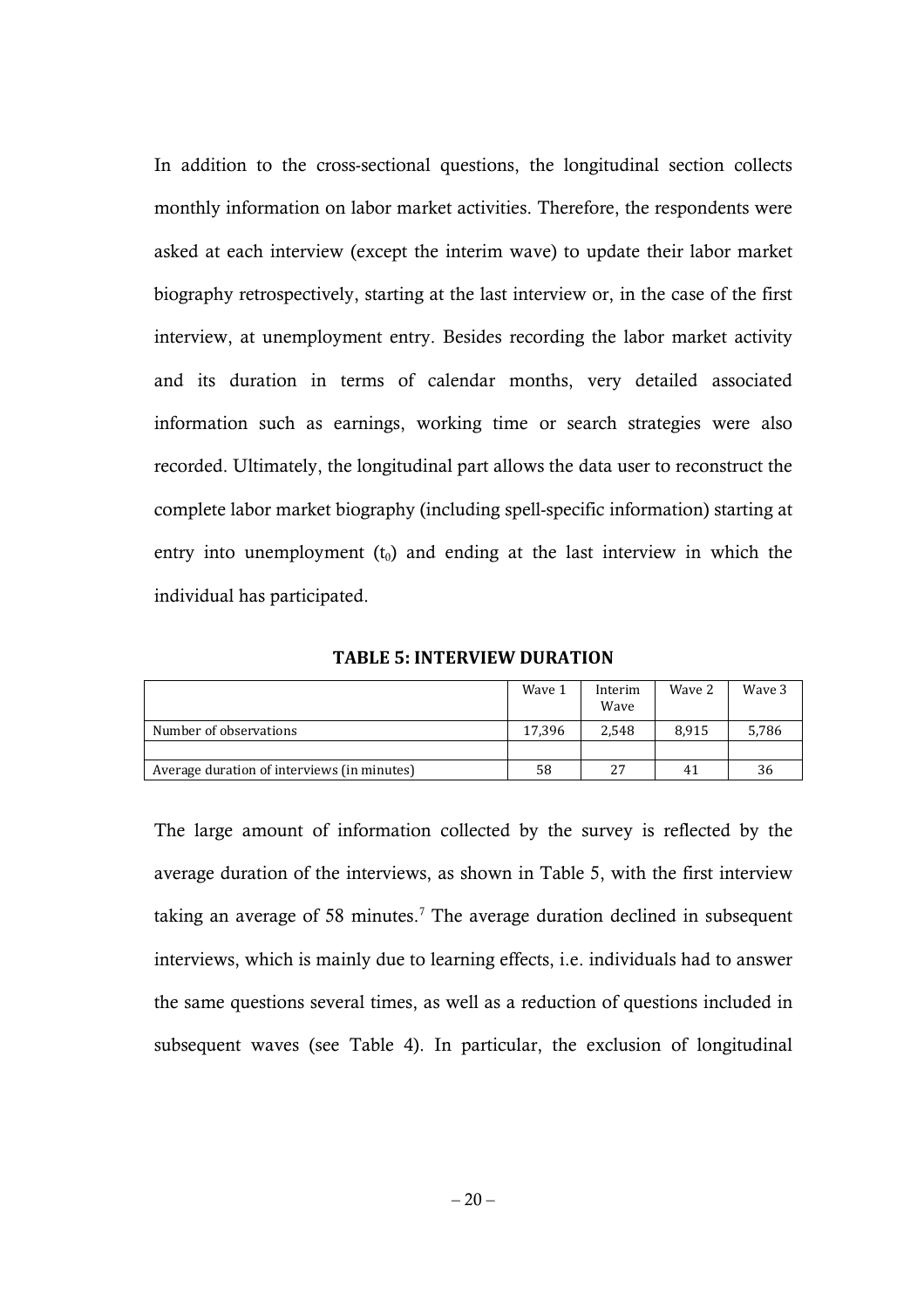In addition to the cross-sectional questions, the longitudinal section collects monthly information on labor market activities. Therefore, the respondents were asked at each interview (except the interim wave) to update their labor market biography retrospectively, starting at the last interview or, in the case of the first interview, at unemployment entry. Besides recording the labor market activity and its duration in terms of calendar months, very detailed associated information such as earnings, working time or search strategies were also recorded. Ultimately, the longitudinal part allows the data user to reconstruct the complete labor market biography (including spell-specific information) starting at entry into unemployment  $(t_0)$  and ending at the last interview in which the individual has participated.

**TABLE 5: INTERVIEW DURATION** 

|                                             | Wave 1 | Interim<br>Wave | Wave 2 | Waye 3 |
|---------------------------------------------|--------|-----------------|--------|--------|
| Number of observations                      | 17.396 | 2.548           | 8.915  | 5,786  |
|                                             |        |                 |        |        |
| Average duration of interviews (in minutes) | 58     | 27              | 41     | 36     |

The large amount of information collected by the survey is reflected by the average duration of the interviews, as shown in Table 5, with the first interview taking an average of 58 minutes.<sup>7</sup> The average duration declined in subsequent interviews, which is mainly due to learning effects, i.e. individuals had to answer the same questions several times, as well as a reduction of questions included in subsequent waves (see Table 4). In particular, the exclusion of longitudinal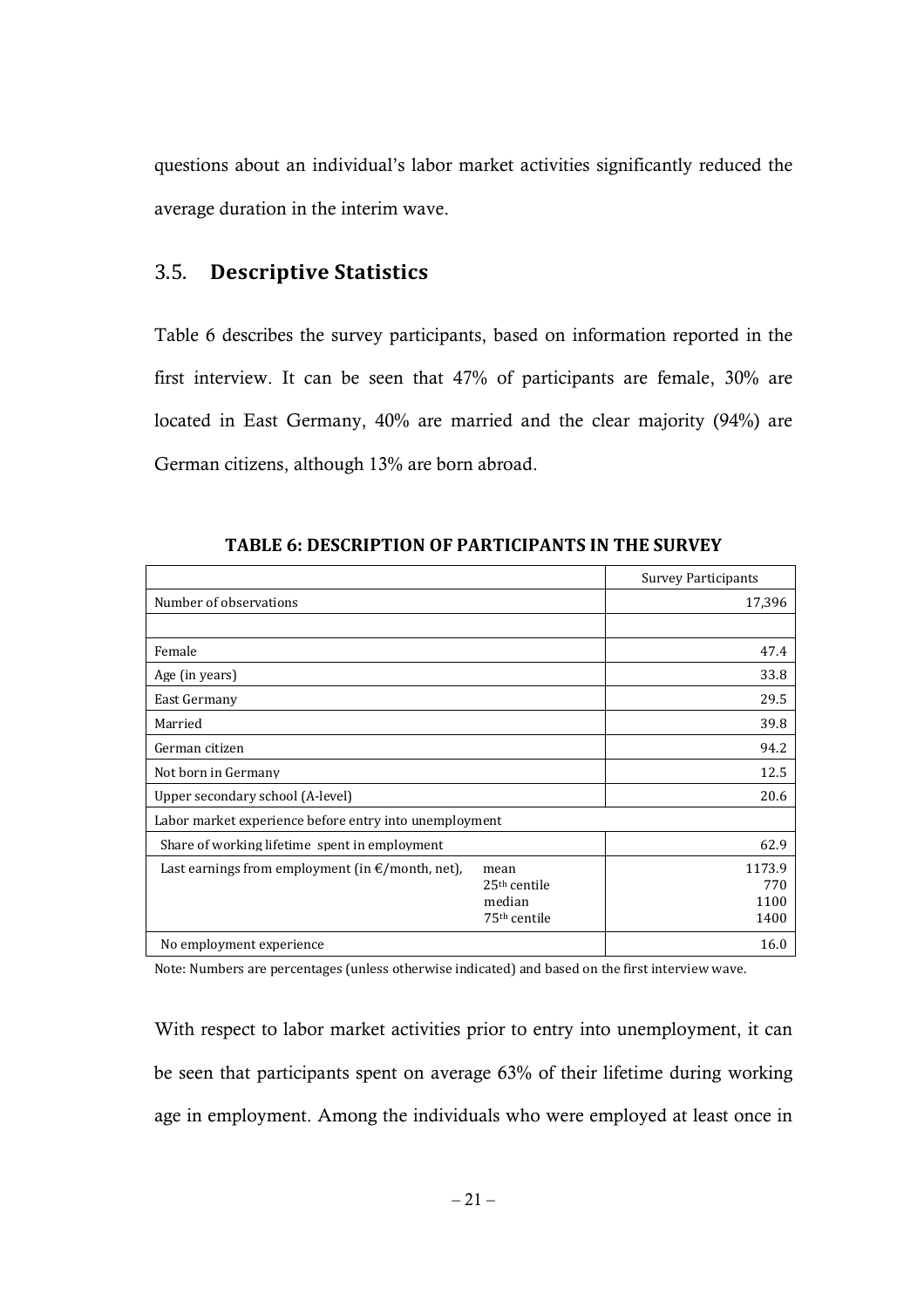questions about an individual's labor market activities significantly reduced the average duration in the interim wave.

### 3.5. **Descriptive Statistics**

Table 6 describes the survey participants, based on information reported in the first interview. It can be seen that 47% of participants are female, 30% are located in East Germany, 40% are married and the clear majority (94%) are German citizens, although 13% are born abroad.

|                                                            |                                                              | <b>Survey Participants</b>    |  |  |
|------------------------------------------------------------|--------------------------------------------------------------|-------------------------------|--|--|
| Number of observations                                     |                                                              | 17,396                        |  |  |
|                                                            |                                                              |                               |  |  |
| Female                                                     |                                                              | 47.4                          |  |  |
| Age (in years)                                             |                                                              | 33.8                          |  |  |
| East Germany                                               |                                                              | 29.5                          |  |  |
| Married                                                    |                                                              | 39.8                          |  |  |
| German citizen                                             | 94.2                                                         |                               |  |  |
| Not born in Germany                                        | 12.5                                                         |                               |  |  |
| Upper secondary school (A-level)                           | 20.6                                                         |                               |  |  |
| Labor market experience before entry into unemployment     |                                                              |                               |  |  |
| Share of working lifetime spent in employment              |                                                              | 62.9                          |  |  |
| Last earnings from employment (in $\epsilon$ /month, net), | mean<br>$25th$ centile<br>median<br>75 <sup>th</sup> centile | 1173.9<br>770<br>1100<br>1400 |  |  |
| No employment experience                                   | 16.0                                                         |                               |  |  |

**TABLE 6: DESCRIPTION OF PARTICIPANTS IN THE SURVEY** 

Note: Numbers are percentages (unless otherwise indicated) and based on the first interview wave.

With respect to labor market activities prior to entry into unemployment, it can be seen that participants spent on average 63% of their lifetime during working age in employment. Among the individuals who were employed at least once in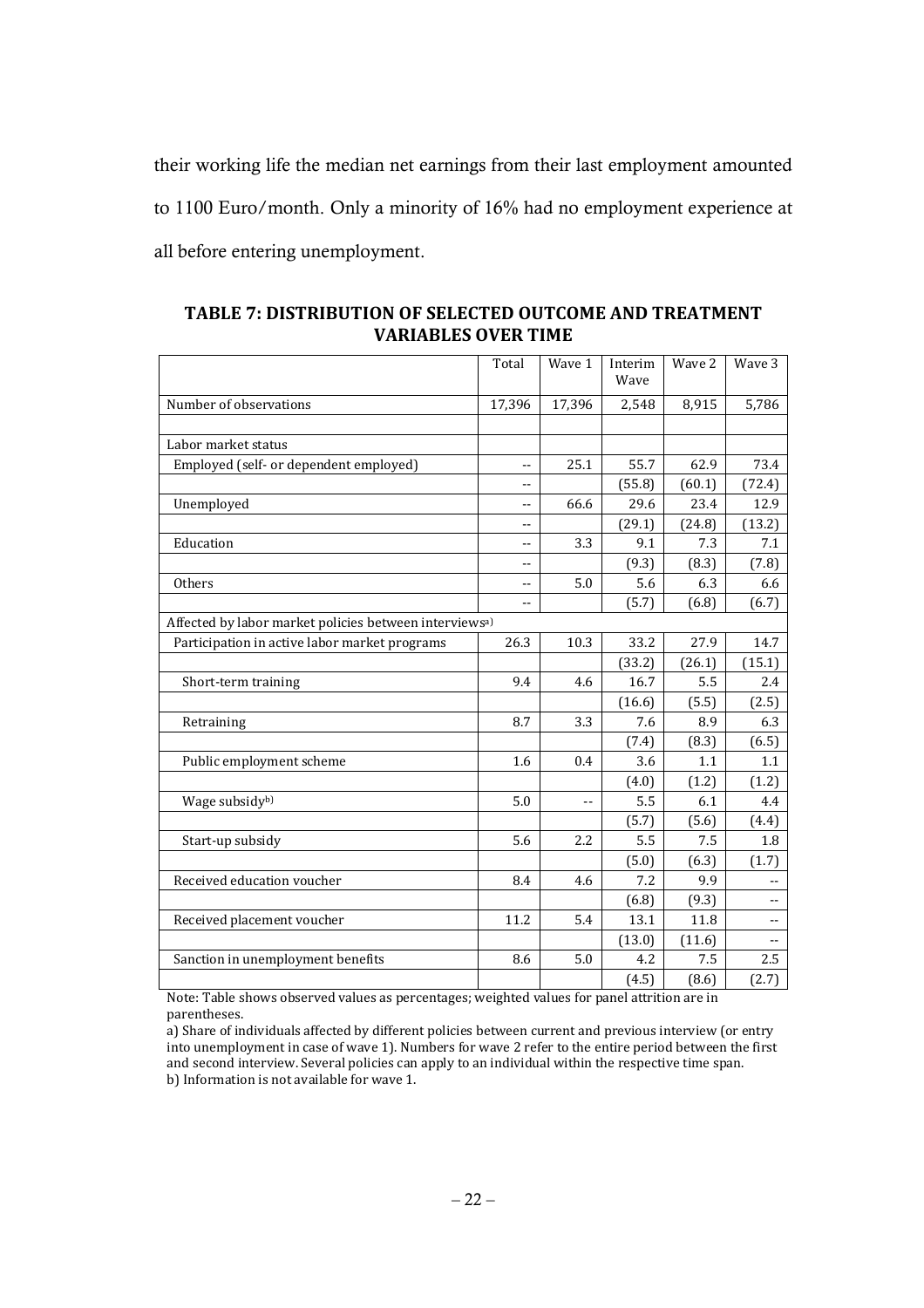their working life the median net earnings from their last employment amounted to 1100 Euro/month. Only a minority of 16% had no employment experience at all before entering unemployment.

|                                                                    | Total                    | Wave 1         | Interim<br>Wave | Wave 2 | Wave 3                   |
|--------------------------------------------------------------------|--------------------------|----------------|-----------------|--------|--------------------------|
| Number of observations                                             | 17,396                   | 17,396         | 2,548           | 8,915  | 5,786                    |
|                                                                    |                          |                |                 |        |                          |
| Labor market status                                                |                          |                |                 |        |                          |
| Employed (self- or dependent employed)                             | $-$                      | 25.1           | 55.7            | 62.9   | 73.4                     |
|                                                                    |                          |                | (55.8)          | (60.1) | (72.4)                   |
| Unemployed                                                         | --                       | 66.6           | 29.6            | 23.4   | 12.9                     |
|                                                                    | $-$                      |                | (29.1)          | (24.8) | (13.2)                   |
| Education                                                          | --                       | 3.3            | 9.1             | 7.3    | 7.1                      |
|                                                                    | --                       |                | (9.3)           | (8.3)  | (7.8)                    |
| Others                                                             | $-$                      | 5.0            | 5.6             | 6.3    | 6.6                      |
|                                                                    | $\overline{\phantom{a}}$ |                | (5.7)           | (6.8)  | (6.7)                    |
| Affected by labor market policies between interviews <sup>a)</sup> |                          |                |                 |        |                          |
| Participation in active labor market programs                      | 26.3                     | 10.3           | 33.2            | 27.9   | 14.7                     |
|                                                                    |                          |                | (33.2)          | (26.1) | (15.1)                   |
| Short-term training                                                | 9.4                      | 4.6            | 16.7            | 5.5    | 2.4                      |
|                                                                    |                          |                | (16.6)          | (5.5)  | (2.5)                    |
| Retraining                                                         | 8.7                      | 3.3            | 7.6             | 8.9    | 6.3                      |
|                                                                    |                          |                | (7.4)           | (8.3)  | (6.5)                    |
| Public employment scheme                                           | 1.6                      | 0.4            | 3.6             | 1.1    | 1.1                      |
|                                                                    |                          |                | (4.0)           | (1.2)  | (1.2)                    |
| Wage subsidy <sup>b)</sup>                                         | 5.0                      | $\overline{a}$ | 5.5             | 6.1    | 4.4                      |
|                                                                    |                          |                | (5.7)           | (5.6)  | (4.4)                    |
| Start-up subsidy                                                   | 5.6                      | 2.2            | 5.5             | 7.5    | 1.8                      |
|                                                                    |                          |                | (5.0)           | (6.3)  | (1.7)                    |
| Received education voucher                                         | 8.4                      | 4.6            | 7.2             | 9.9    | $\overline{\phantom{a}}$ |
|                                                                    |                          |                | (6.8)           | (9.3)  | $-$                      |
| Received placement voucher                                         | 11.2                     | 5.4            | 13.1            | 11.8   | --                       |
|                                                                    |                          |                | (13.0)          | (11.6) |                          |
| Sanction in unemployment benefits                                  | 8.6                      | 5.0            | 4.2             | 7.5    | 2.5                      |
|                                                                    |                          |                | (4.5)           | (8.6)  | (2.7)                    |

**TABLE 7: DISTRIBUTION OF SELECTED OUTCOME AND TREATMENT VARIABLES OVER TIME** 

Note: Table shows observed values as percentages; weighted values for panel attrition are in parentheses.

a) Share of individuals affected by different policies between current and previous interview (or entry into unemployment in case of wave 1). Numbers for wave 2 refer to the entire period between the first and second interview. Several policies can apply to an individual within the respective time span. b) Information is not available for wave 1.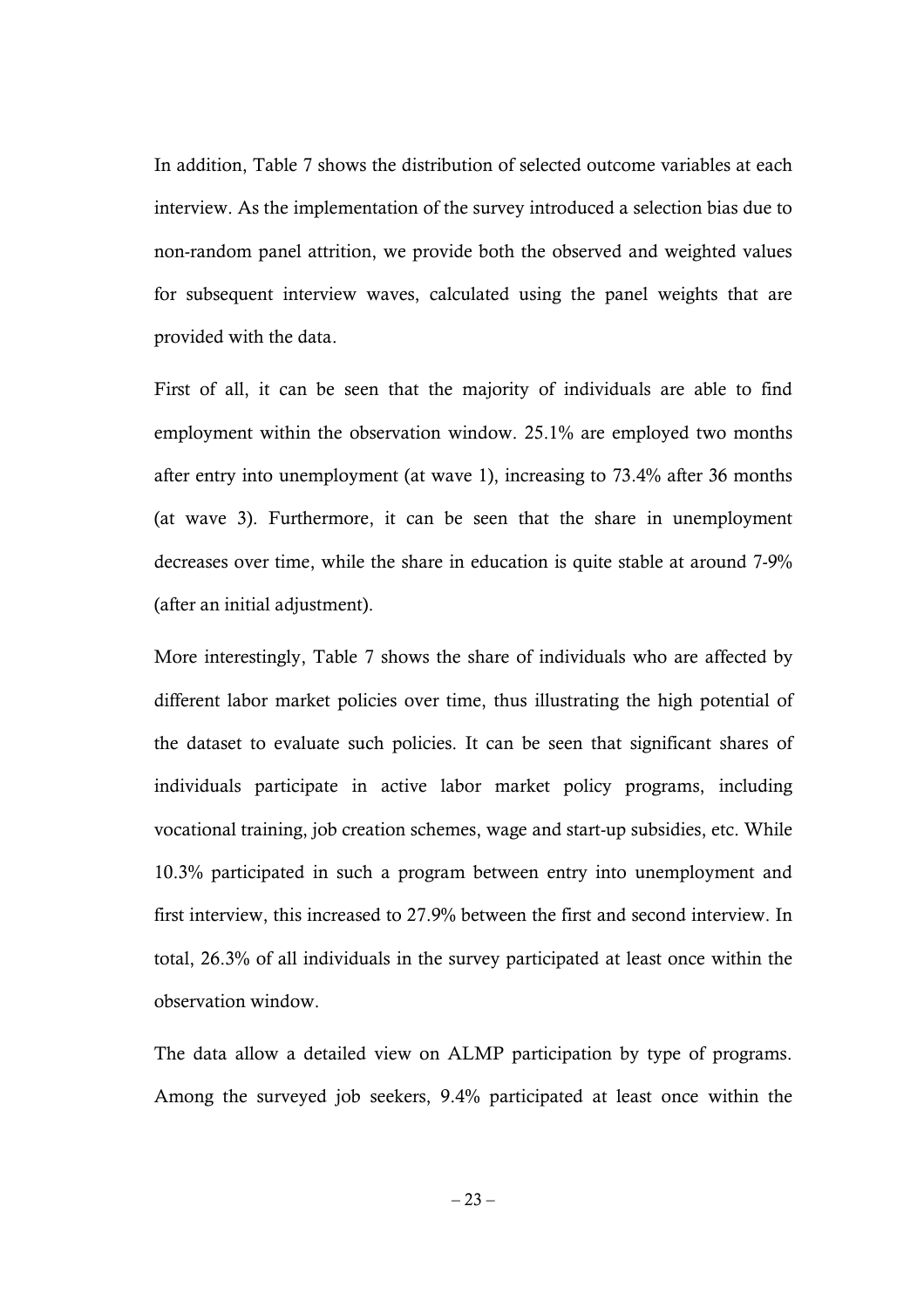In addition, Table 7 shows the distribution of selected outcome variables at each interview. As the implementation of the survey introduced a selection bias due to non-random panel attrition, we provide both the observed and weighted values for subsequent interview waves, calculated using the panel weights that are provided with the data.

First of all, it can be seen that the majority of individuals are able to find employment within the observation window. 25.1% are employed two months after entry into unemployment (at wave 1), increasing to 73.4% after 36 months (at wave 3). Furthermore, it can be seen that the share in unemployment decreases over time, while the share in education is quite stable at around 7-9% (after an initial adjustment).

More interestingly, Table 7 shows the share of individuals who are affected by different labor market policies over time, thus illustrating the high potential of the dataset to evaluate such policies. It can be seen that significant shares of individuals participate in active labor market policy programs, including vocational training, job creation schemes, wage and start-up subsidies, etc. While 10.3% participated in such a program between entry into unemployment and first interview, this increased to 27.9% between the first and second interview. In total, 26.3% of all individuals in the survey participated at least once within the observation window.

The data allow a detailed view on ALMP participation by type of programs. Among the surveyed job seekers, 9.4% participated at least once within the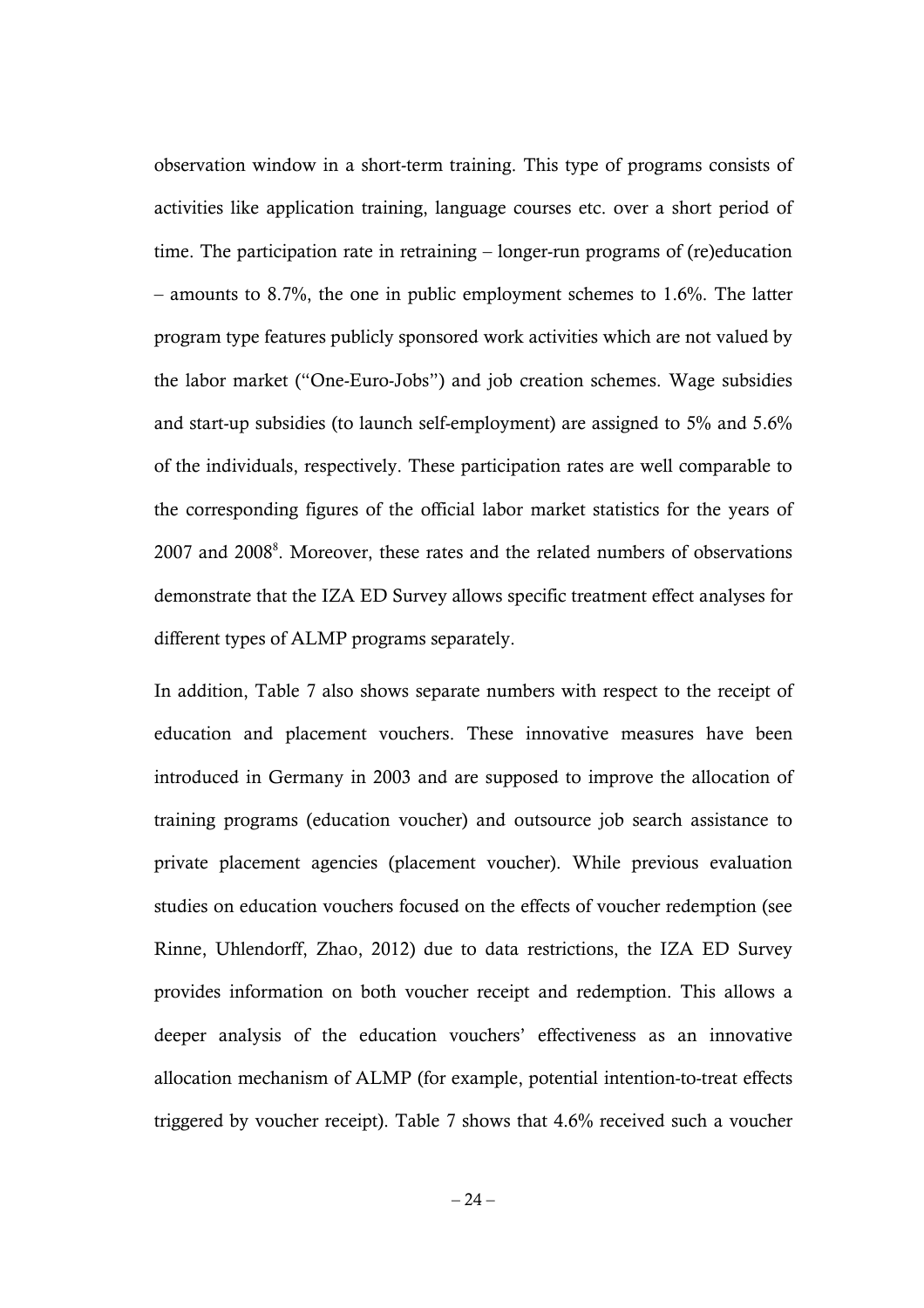observation window in a short-term training. This type of programs consists of activities like application training, language courses etc. over a short period of time. The participation rate in retraining – longer-run programs of (re)education – amounts to 8.7%, the one in public employment schemes to 1.6%. The latter program type features publicly sponsored work activities which are not valued by the labor market ("One-Euro-Jobs") and job creation schemes. Wage subsidies and start-up subsidies (to launch self-employment) are assigned to 5% and 5.6% of the individuals, respectively. These participation rates are well comparable to the corresponding figures of the official labor market statistics for the years of 2007 and 2008<sup>8</sup>. Moreover, these rates and the related numbers of observations demonstrate that the IZA ED Survey allows specific treatment effect analyses for different types of ALMP programs separately.

In addition, Table 7 also shows separate numbers with respect to the receipt of education and placement vouchers. These innovative measures have been introduced in Germany in 2003 and are supposed to improve the allocation of training programs (education voucher) and outsource job search assistance to private placement agencies (placement voucher). While previous evaluation studies on education vouchers focused on the effects of voucher redemption (see Rinne, Uhlendorff, Zhao, 2012) due to data restrictions, the IZA ED Survey provides information on both voucher receipt and redemption. This allows a deeper analysis of the education vouchers' effectiveness as an innovative allocation mechanism of ALMP (for example, potential intention-to-treat effects triggered by voucher receipt). Table 7 shows that 4.6% received such a voucher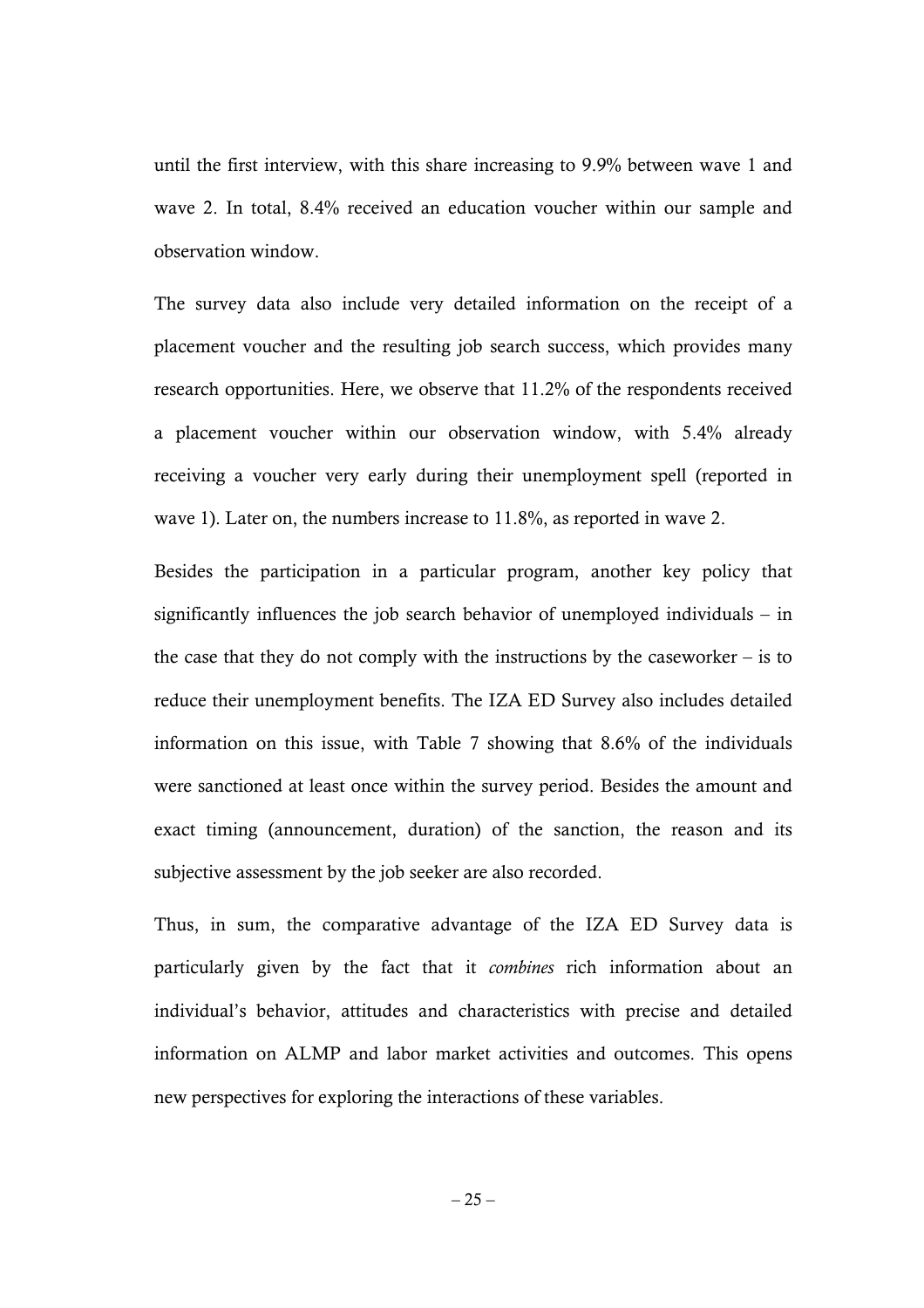until the first interview, with this share increasing to 9.9% between wave 1 and wave 2. In total, 8.4% received an education voucher within our sample and observation window.

The survey data also include very detailed information on the receipt of a placement voucher and the resulting job search success, which provides many research opportunities. Here, we observe that 11.2% of the respondents received a placement voucher within our observation window, with 5.4% already receiving a voucher very early during their unemployment spell (reported in wave 1). Later on, the numbers increase to 11.8%, as reported in wave 2.

Besides the participation in a particular program, another key policy that significantly influences the job search behavior of unemployed individuals – in the case that they do not comply with the instructions by the caseworker – is to reduce their unemployment benefits. The IZA ED Survey also includes detailed information on this issue, with Table 7 showing that 8.6% of the individuals were sanctioned at least once within the survey period. Besides the amount and exact timing (announcement, duration) of the sanction, the reason and its subjective assessment by the job seeker are also recorded.

Thus, in sum, the comparative advantage of the IZA ED Survey data is particularly given by the fact that it *combines* rich information about an individual's behavior, attitudes and characteristics with precise and detailed information on ALMP and labor market activities and outcomes. This opens new perspectives for exploring the interactions of these variables.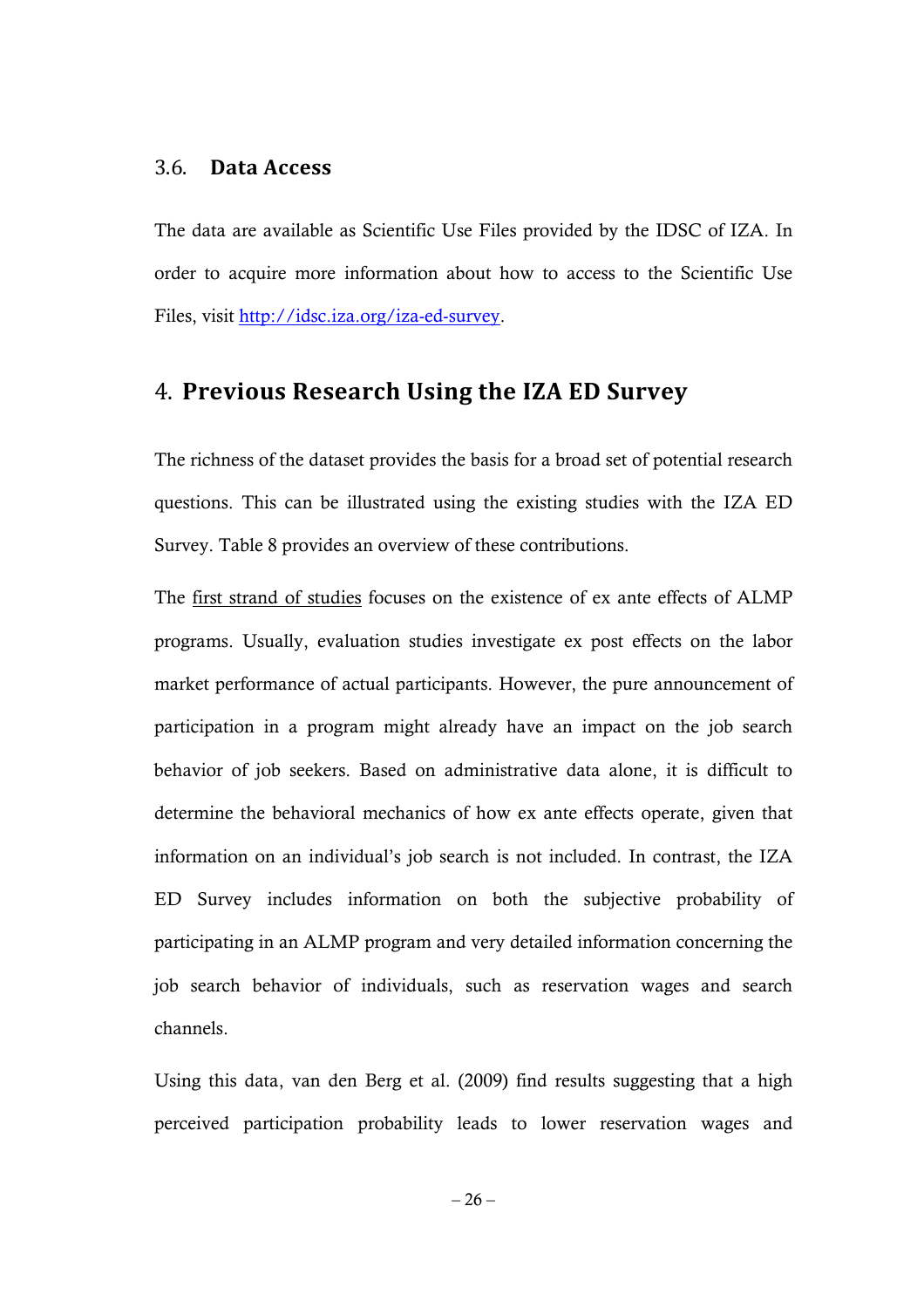### 3.6. **Data Access**

The data are available as Scientific Use Files provided by the IDSC of IZA. In order to acquire more information about how to access to the Scientific Use Files, visit http://idsc.iza.org/iza-ed-survey.

# 4. **Previous Research Using the IZA ED Survey**

The richness of the dataset provides the basis for a broad set of potential research questions. This can be illustrated using the existing studies with the IZA ED Survey. Table 8 provides an overview of these contributions.

The first strand of studies focuses on the existence of ex ante effects of ALMP programs. Usually, evaluation studies investigate ex post effects on the labor market performance of actual participants. However, the pure announcement of participation in a program might already have an impact on the job search behavior of job seekers. Based on administrative data alone, it is difficult to determine the behavioral mechanics of how ex ante effects operate, given that information on an individual's job search is not included. In contrast, the IZA ED Survey includes information on both the subjective probability of participating in an ALMP program and very detailed information concerning the job search behavior of individuals, such as reservation wages and search channels.

Using this data, van den Berg et al. (2009) find results suggesting that a high perceived participation probability leads to lower reservation wages and

 $-26-$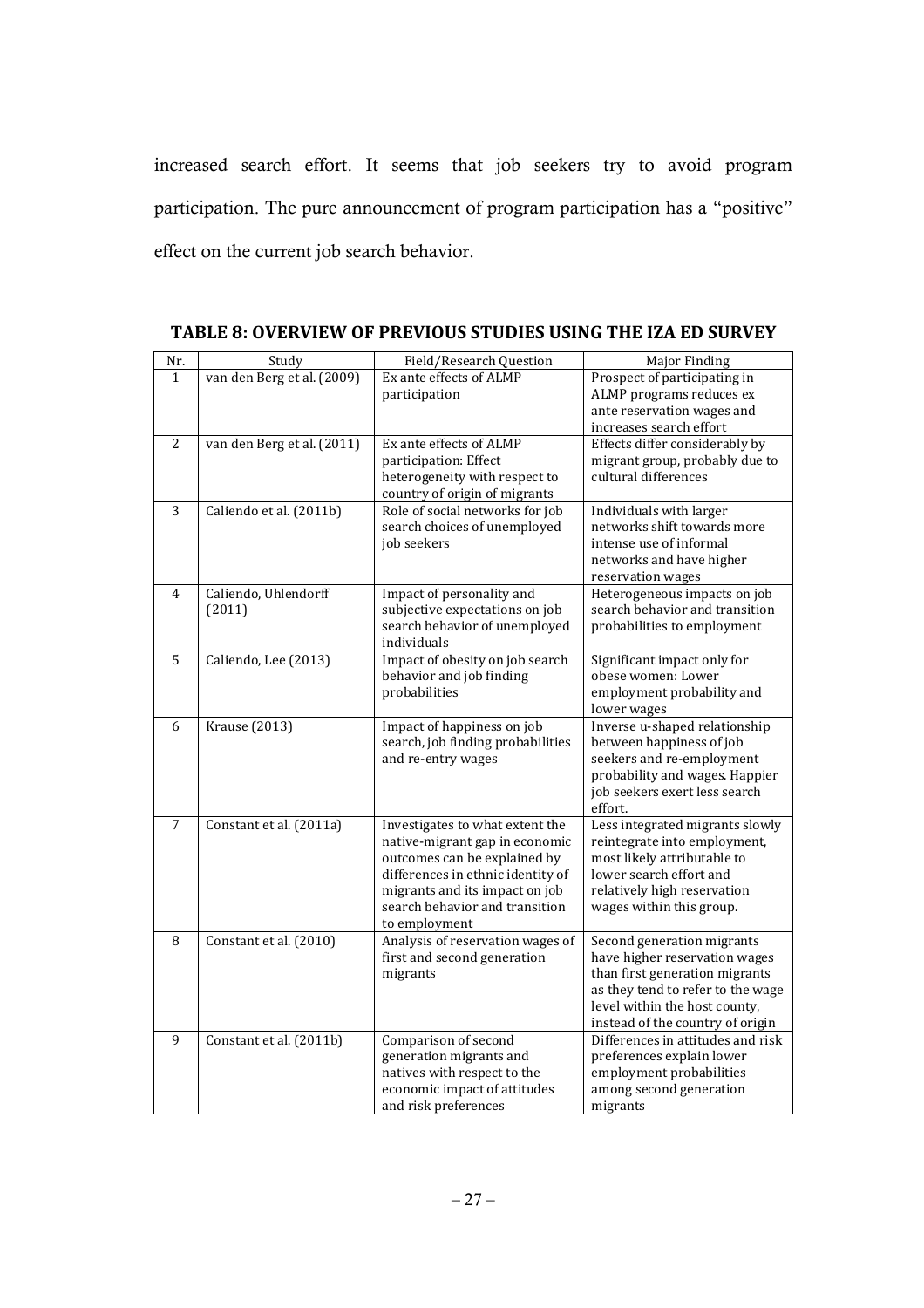increased search effort. It seems that job seekers try to avoid program participation. The pure announcement of program participation has a "positive" effect on the current job search behavior.

| Nr.            | Study                      | Field/Research Question           | Major Finding                     |
|----------------|----------------------------|-----------------------------------|-----------------------------------|
| $\mathbf{1}$   | van den Berg et al. (2009) | Ex ante effects of ALMP           | Prospect of participating in      |
|                |                            | participation                     | ALMP programs reduces ex          |
|                |                            |                                   | ante reservation wages and        |
|                |                            |                                   | increases search effort           |
| 2              | van den Berg et al. (2011) | Ex ante effects of ALMP           | Effects differ considerably by    |
|                |                            | participation: Effect             | migrant group, probably due to    |
|                |                            | heterogeneity with respect to     | cultural differences              |
|                |                            | country of origin of migrants     |                                   |
| $\overline{3}$ | Caliendo et al. (2011b)    | Role of social networks for job   | Individuals with larger           |
|                |                            | search choices of unemployed      | networks shift towards more       |
|                |                            | job seekers                       | intense use of informal           |
|                |                            |                                   | networks and have higher          |
|                |                            |                                   | reservation wages                 |
| $\overline{4}$ | Caliendo, Uhlendorff       | Impact of personality and         | Heterogeneous impacts on job      |
|                | (2011)                     | subjective expectations on job    | search behavior and transition    |
|                |                            | search behavior of unemployed     | probabilities to employment       |
|                |                            | individuals                       |                                   |
| 5              | Caliendo, Lee (2013)       | Impact of obesity on job search   | Significant impact only for       |
|                |                            | behavior and job finding          | obese women: Lower                |
|                |                            | probabilities                     | employment probability and        |
|                |                            |                                   | lower wages                       |
| 6              | <b>Krause</b> (2013)       | Impact of happiness on job        | Inverse u-shaped relationship     |
|                |                            | search, job finding probabilities | between happiness of job          |
|                |                            | and re-entry wages                | seekers and re-employment         |
|                |                            |                                   | probability and wages. Happier    |
|                |                            |                                   | job seekers exert less search     |
|                |                            |                                   | effort.                           |
| 7              | Constant et al. (2011a)    | Investigates to what extent the   | Less integrated migrants slowly   |
|                |                            | native-migrant gap in economic    | reintegrate into employment,      |
|                |                            | outcomes can be explained by      | most likely attributable to       |
|                |                            | differences in ethnic identity of | lower search effort and           |
|                |                            | migrants and its impact on job    | relatively high reservation       |
|                |                            | search behavior and transition    | wages within this group.          |
|                |                            | to employment                     |                                   |
| 8              | Constant et al. (2010)     | Analysis of reservation wages of  | Second generation migrants        |
|                |                            | first and second generation       | have higher reservation wages     |
|                |                            | migrants                          | than first generation migrants    |
|                |                            |                                   | as they tend to refer to the wage |
|                |                            |                                   | level within the host county,     |
|                |                            |                                   | instead of the country of origin  |
| 9              | Constant et al. (2011b)    | Comparison of second              | Differences in attitudes and risk |
|                |                            | generation migrants and           | preferences explain lower         |
|                |                            | natives with respect to the       | employment probabilities          |
|                |                            | economic impact of attitudes      | among second generation           |
|                |                            | and risk preferences              | migrants                          |

**TABLE 8: OVERVIEW OF PREVIOUS STUDIES USING THE IZA ED SURVEY**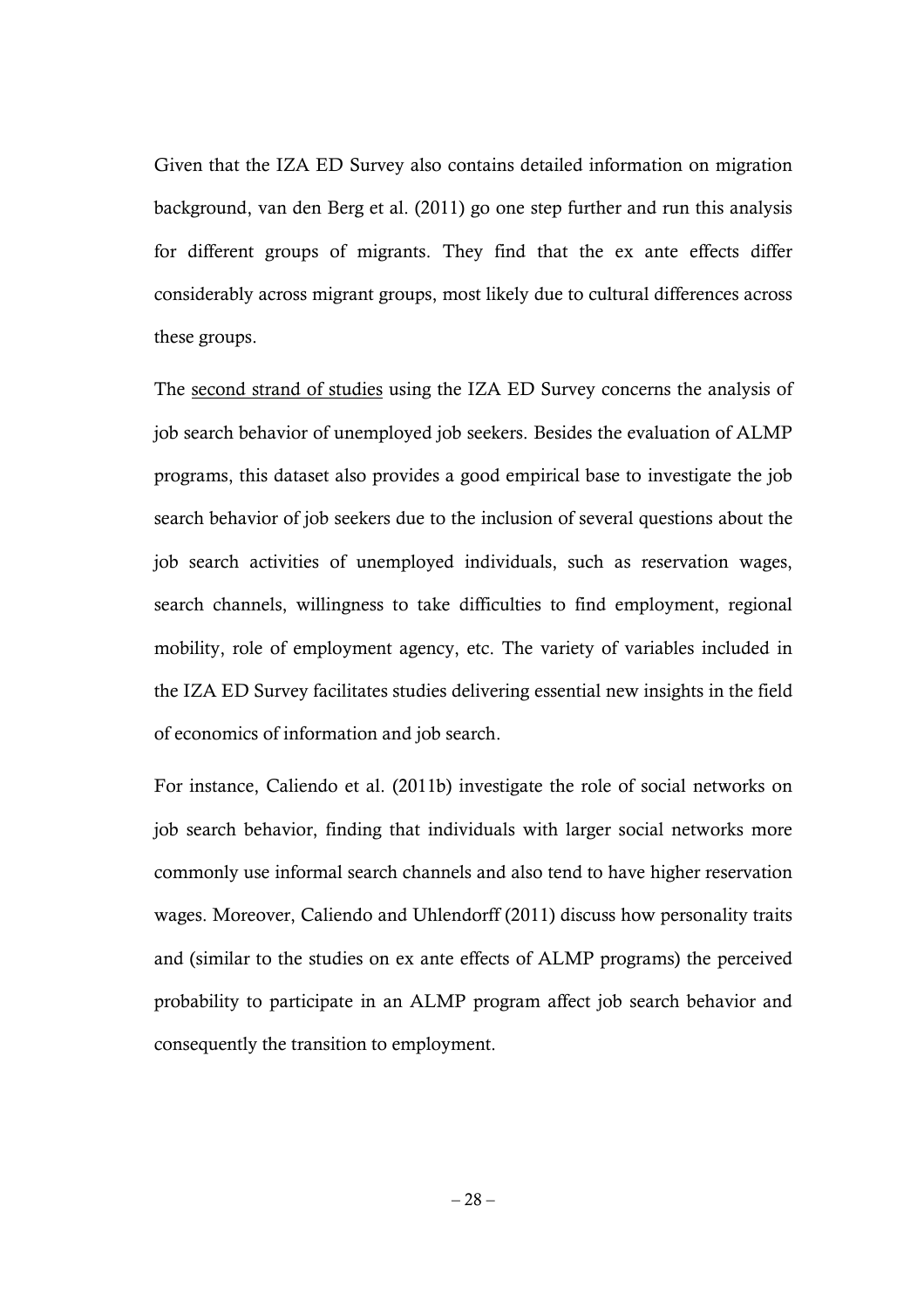Given that the IZA ED Survey also contains detailed information on migration background, van den Berg et al. (2011) go one step further and run this analysis for different groups of migrants. They find that the ex ante effects differ considerably across migrant groups, most likely due to cultural differences across these groups.

The second strand of studies using the IZA ED Survey concerns the analysis of job search behavior of unemployed job seekers. Besides the evaluation of ALMP programs, this dataset also provides a good empirical base to investigate the job search behavior of job seekers due to the inclusion of several questions about the job search activities of unemployed individuals, such as reservation wages, search channels, willingness to take difficulties to find employment, regional mobility, role of employment agency, etc. The variety of variables included in the IZA ED Survey facilitates studies delivering essential new insights in the field of economics of information and job search.

For instance, Caliendo et al. (2011b) investigate the role of social networks on job search behavior, finding that individuals with larger social networks more commonly use informal search channels and also tend to have higher reservation wages. Moreover, Caliendo and Uhlendorff (2011) discuss how personality traits and (similar to the studies on ex ante effects of ALMP programs) the perceived probability to participate in an ALMP program affect job search behavior and consequently the transition to employment.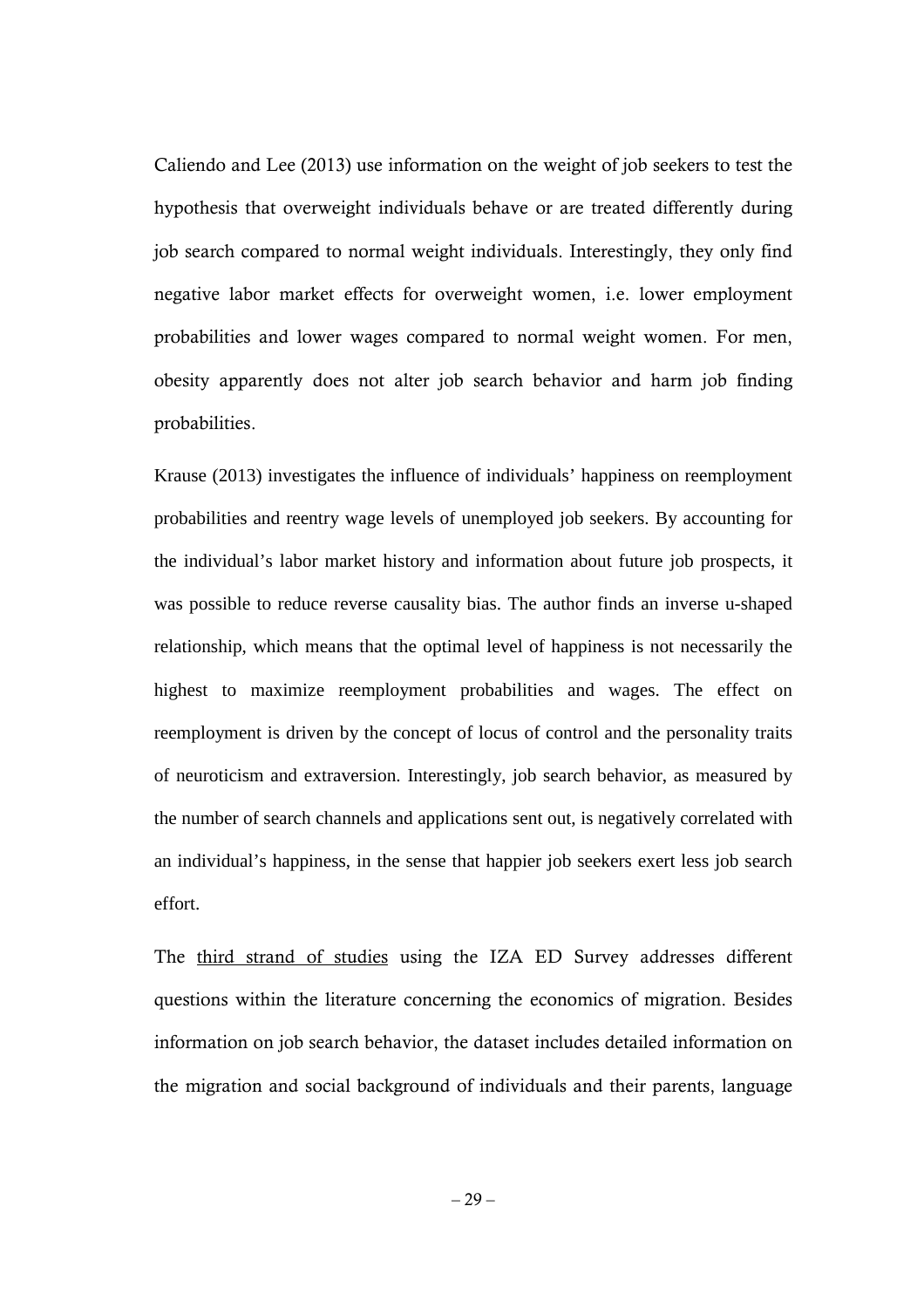Caliendo and Lee (2013) use information on the weight of job seekers to test the hypothesis that overweight individuals behave or are treated differently during job search compared to normal weight individuals. Interestingly, they only find negative labor market effects for overweight women, i.e. lower employment probabilities and lower wages compared to normal weight women. For men, obesity apparently does not alter job search behavior and harm job finding probabilities.

Krause (2013) investigates the influence of individuals' happiness on reemployment probabilities and reentry wage levels of unemployed job seekers. By accounting for the individual's labor market history and information about future job prospects, it was possible to reduce reverse causality bias. The author finds an inverse u-shaped relationship, which means that the optimal level of happiness is not necessarily the highest to maximize reemployment probabilities and wages. The effect on reemployment is driven by the concept of locus of control and the personality traits of neuroticism and extraversion. Interestingly, job search behavior, as measured by the number of search channels and applications sent out, is negatively correlated with an individual's happiness, in the sense that happier job seekers exert less job search effort.

The third strand of studies using the IZA ED Survey addresses different questions within the literature concerning the economics of migration. Besides information on job search behavior, the dataset includes detailed information on the migration and social background of individuals and their parents, language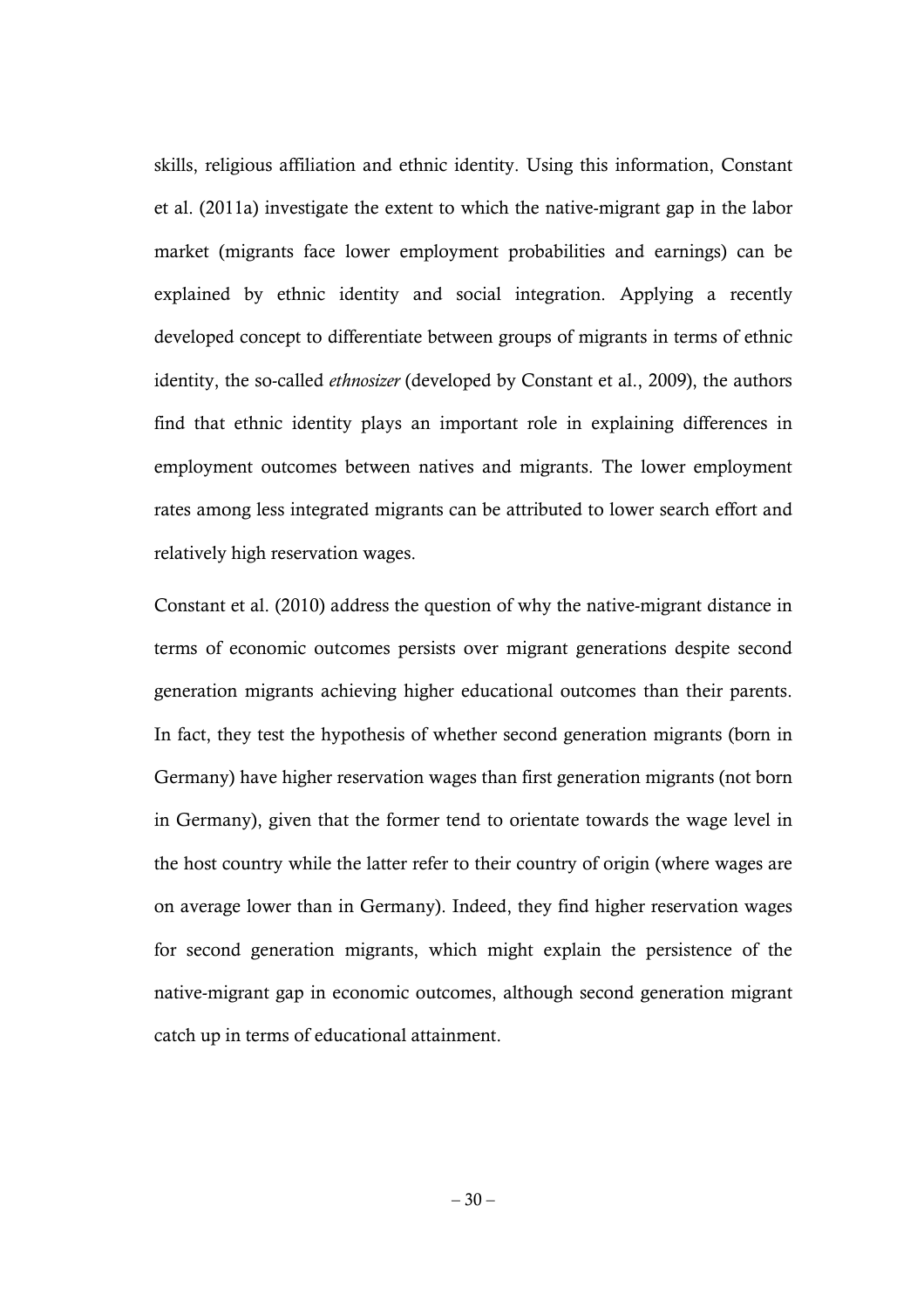skills, religious affiliation and ethnic identity. Using this information, Constant et al. (2011a) investigate the extent to which the native-migrant gap in the labor market (migrants face lower employment probabilities and earnings) can be explained by ethnic identity and social integration. Applying a recently developed concept to differentiate between groups of migrants in terms of ethnic identity, the so-called *ethnosizer* (developed by Constant et al., 2009), the authors find that ethnic identity plays an important role in explaining differences in employment outcomes between natives and migrants. The lower employment rates among less integrated migrants can be attributed to lower search effort and relatively high reservation wages.

Constant et al. (2010) address the question of why the native-migrant distance in terms of economic outcomes persists over migrant generations despite second generation migrants achieving higher educational outcomes than their parents. In fact, they test the hypothesis of whether second generation migrants (born in Germany) have higher reservation wages than first generation migrants (not born in Germany), given that the former tend to orientate towards the wage level in the host country while the latter refer to their country of origin (where wages are on average lower than in Germany). Indeed, they find higher reservation wages for second generation migrants, which might explain the persistence of the native-migrant gap in economic outcomes, although second generation migrant catch up in terms of educational attainment.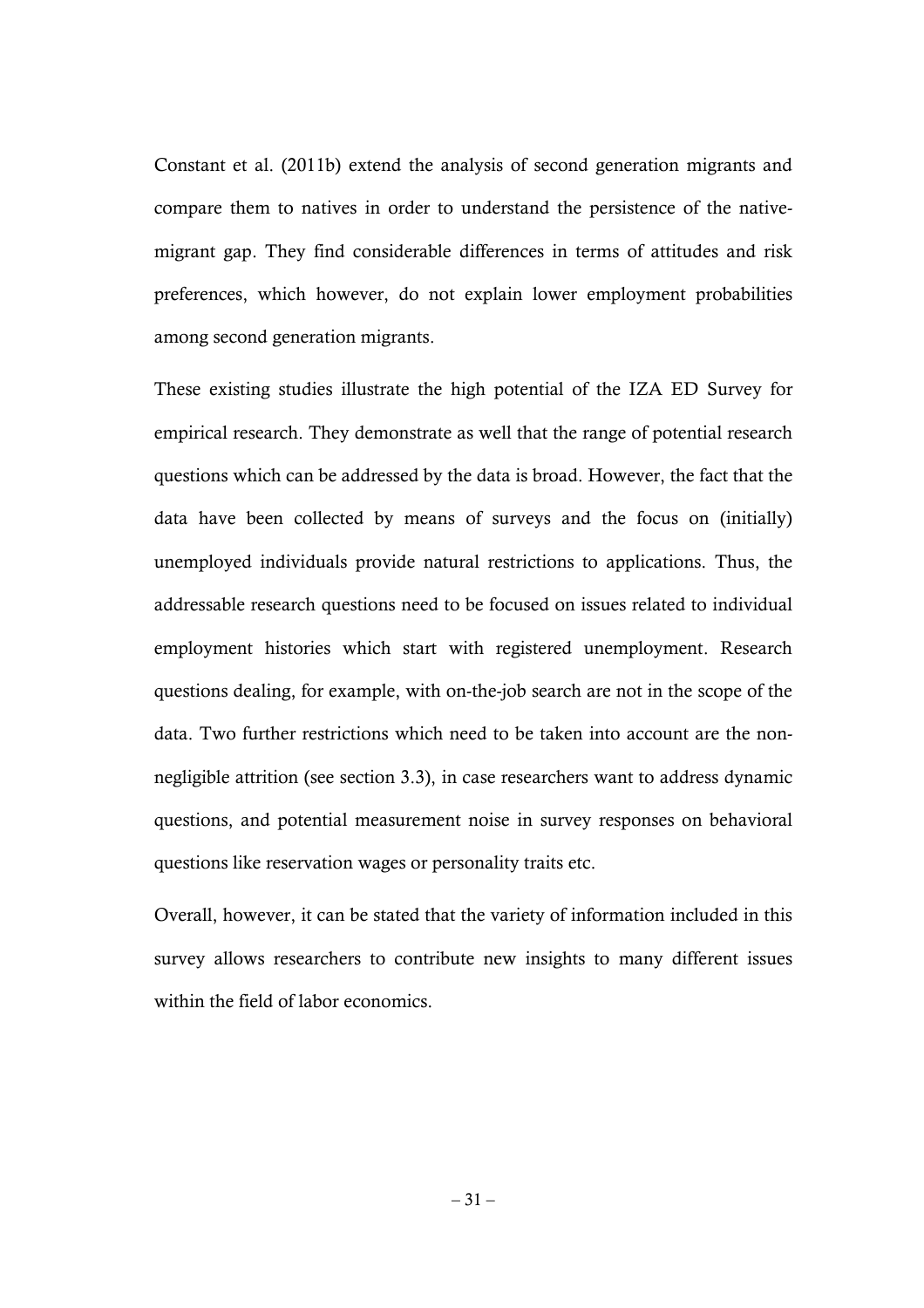Constant et al. (2011b) extend the analysis of second generation migrants and compare them to natives in order to understand the persistence of the nativemigrant gap. They find considerable differences in terms of attitudes and risk preferences, which however, do not explain lower employment probabilities among second generation migrants.

These existing studies illustrate the high potential of the IZA ED Survey for empirical research. They demonstrate as well that the range of potential research questions which can be addressed by the data is broad. However, the fact that the data have been collected by means of surveys and the focus on (initially) unemployed individuals provide natural restrictions to applications. Thus, the addressable research questions need to be focused on issues related to individual employment histories which start with registered unemployment. Research questions dealing, for example, with on-the-job search are not in the scope of the data. Two further restrictions which need to be taken into account are the nonnegligible attrition (see section 3.3), in case researchers want to address dynamic questions, and potential measurement noise in survey responses on behavioral questions like reservation wages or personality traits etc.

Overall, however, it can be stated that the variety of information included in this survey allows researchers to contribute new insights to many different issues within the field of labor economics.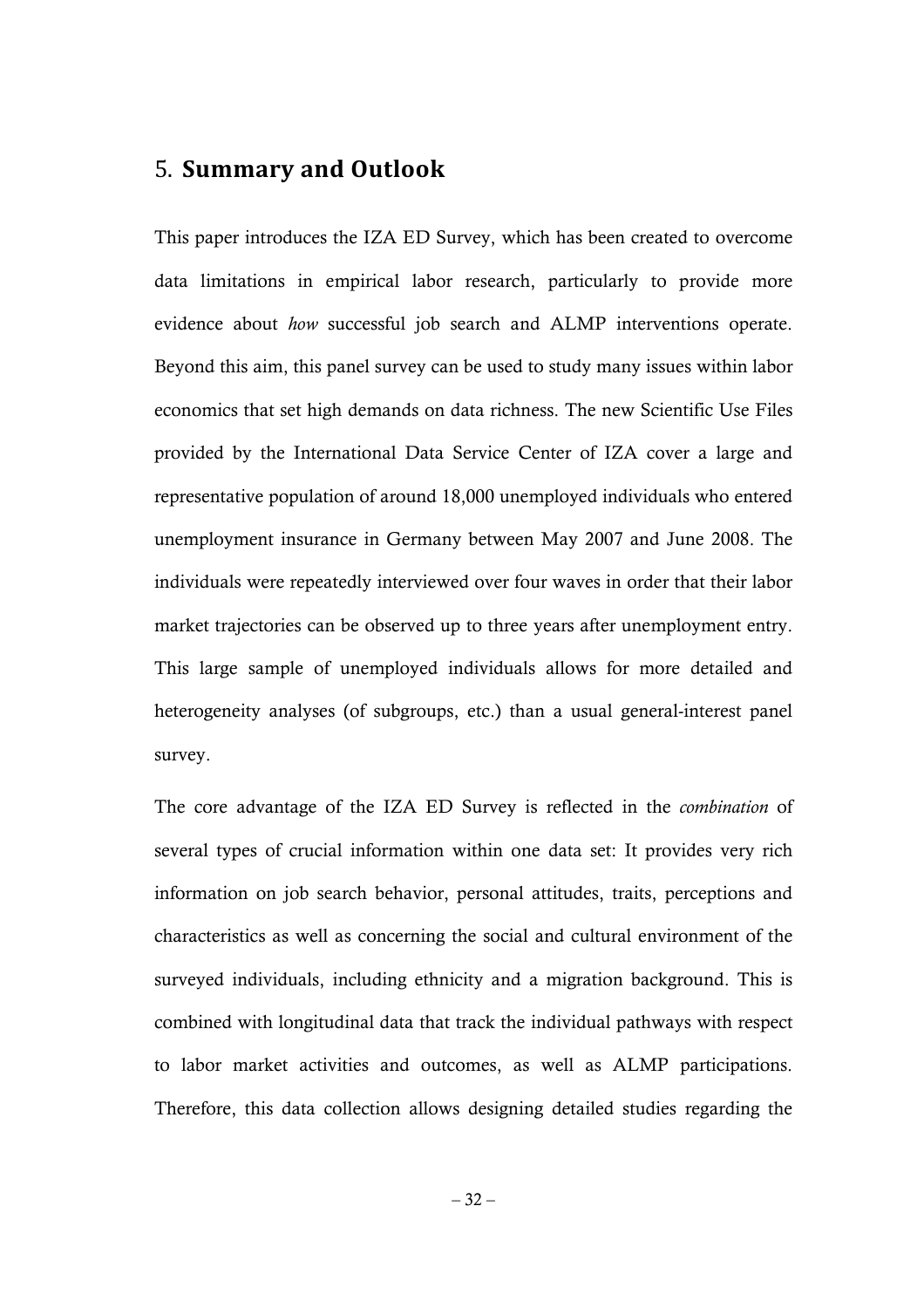# 5. **Summary and Outlook**

This paper introduces the IZA ED Survey, which has been created to overcome data limitations in empirical labor research, particularly to provide more evidence about *how* successful job search and ALMP interventions operate. Beyond this aim, this panel survey can be used to study many issues within labor economics that set high demands on data richness. The new Scientific Use Files provided by the International Data Service Center of IZA cover a large and representative population of around 18,000 unemployed individuals who entered unemployment insurance in Germany between May 2007 and June 2008. The individuals were repeatedly interviewed over four waves in order that their labor market trajectories can be observed up to three years after unemployment entry. This large sample of unemployed individuals allows for more detailed and heterogeneity analyses (of subgroups, etc.) than a usual general-interest panel survey.

The core advantage of the IZA ED Survey is reflected in the *combination* of several types of crucial information within one data set: It provides very rich information on job search behavior, personal attitudes, traits, perceptions and characteristics as well as concerning the social and cultural environment of the surveyed individuals, including ethnicity and a migration background. This is combined with longitudinal data that track the individual pathways with respect to labor market activities and outcomes, as well as ALMP participations. Therefore, this data collection allows designing detailed studies regarding the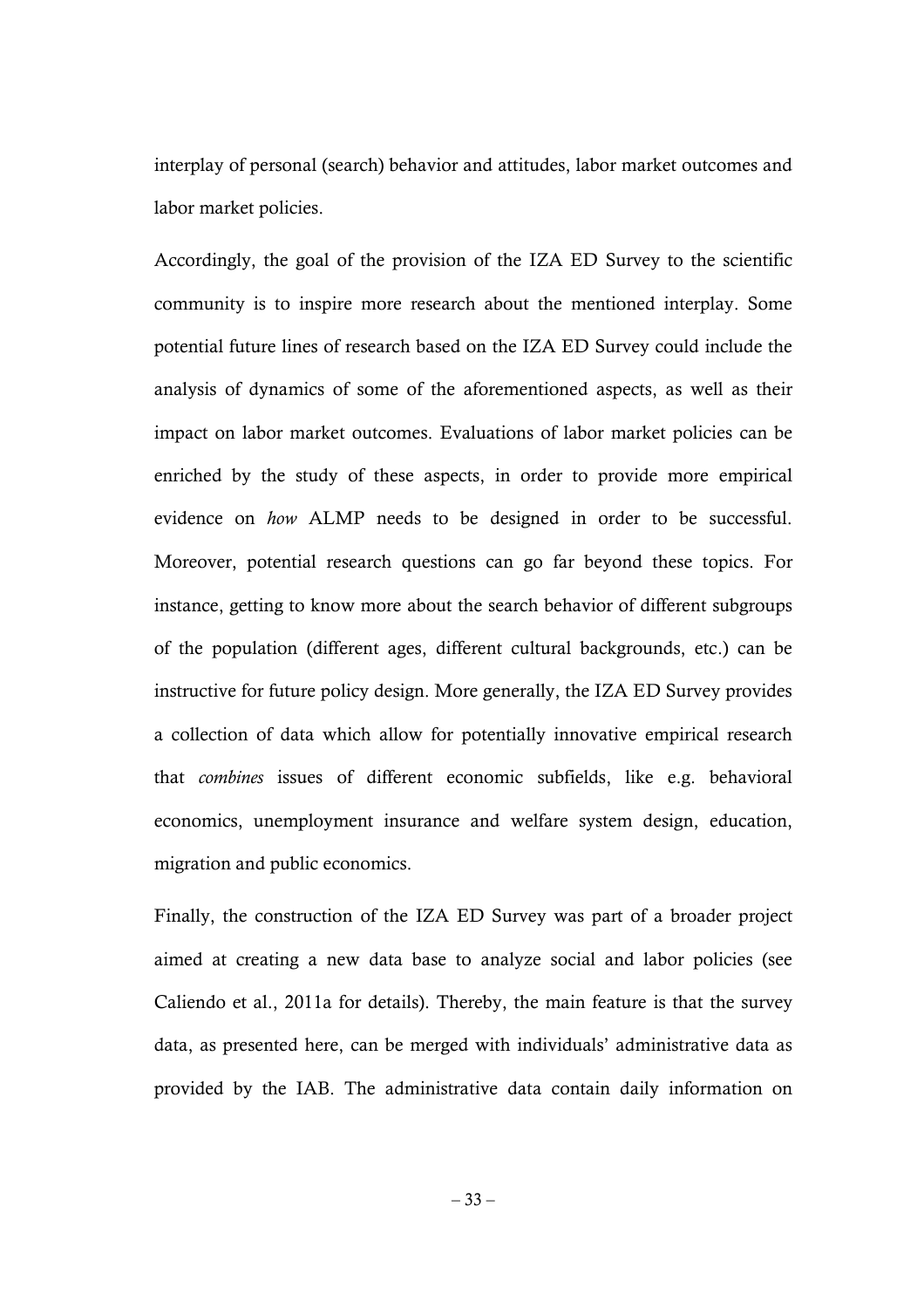interplay of personal (search) behavior and attitudes, labor market outcomes and labor market policies.

Accordingly, the goal of the provision of the IZA ED Survey to the scientific community is to inspire more research about the mentioned interplay. Some potential future lines of research based on the IZA ED Survey could include the analysis of dynamics of some of the aforementioned aspects, as well as their impact on labor market outcomes. Evaluations of labor market policies can be enriched by the study of these aspects, in order to provide more empirical evidence on *how* ALMP needs to be designed in order to be successful. Moreover, potential research questions can go far beyond these topics. For instance, getting to know more about the search behavior of different subgroups of the population (different ages, different cultural backgrounds, etc.) can be instructive for future policy design. More generally, the IZA ED Survey provides a collection of data which allow for potentially innovative empirical research that *combines* issues of different economic subfields, like e.g. behavioral economics, unemployment insurance and welfare system design, education, migration and public economics.

Finally, the construction of the IZA ED Survey was part of a broader project aimed at creating a new data base to analyze social and labor policies (see Caliendo et al., 2011a for details). Thereby, the main feature is that the survey data, as presented here, can be merged with individuals' administrative data as provided by the IAB. The administrative data contain daily information on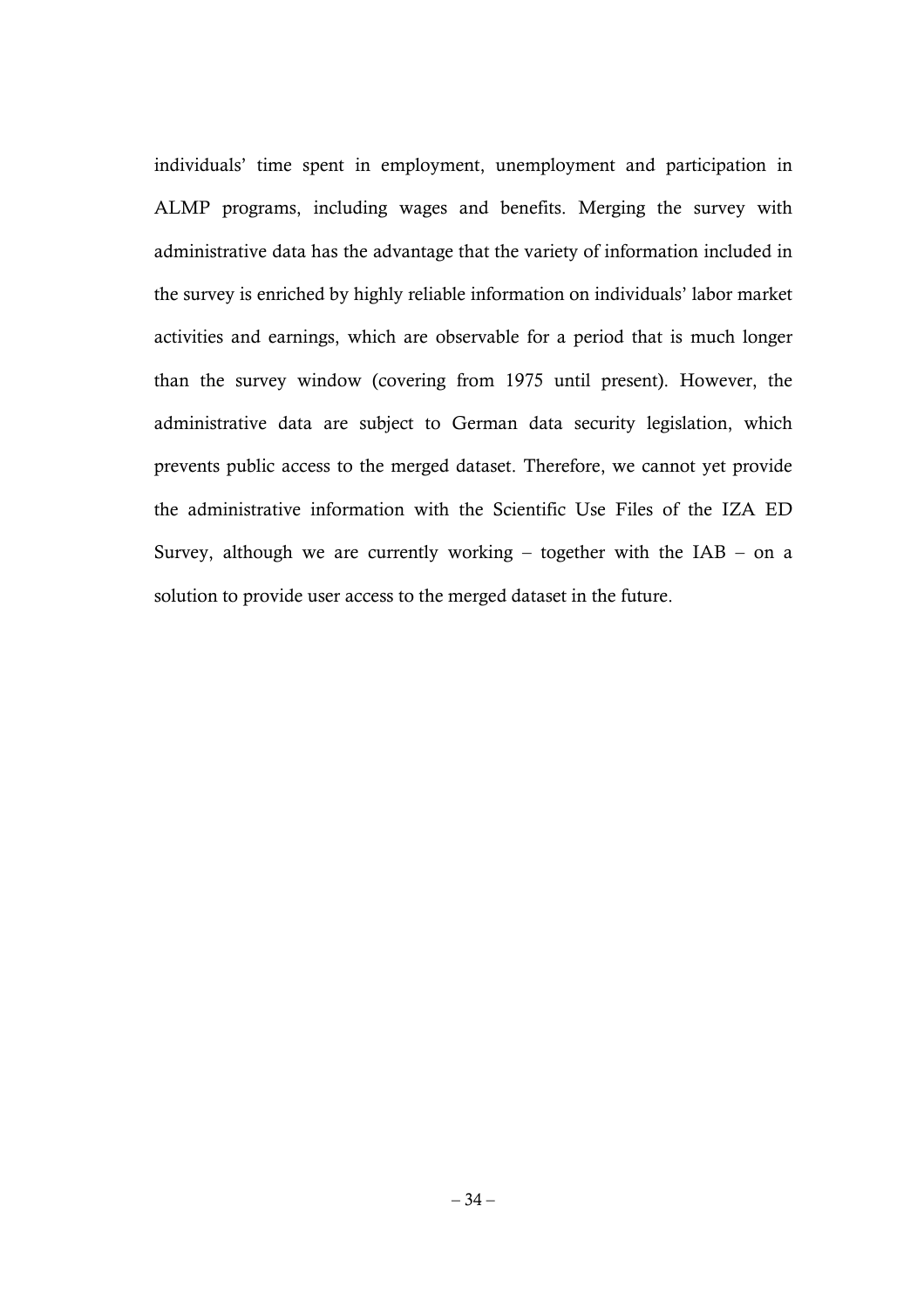individuals' time spent in employment, unemployment and participation in ALMP programs, including wages and benefits. Merging the survey with administrative data has the advantage that the variety of information included in the survey is enriched by highly reliable information on individuals' labor market activities and earnings, which are observable for a period that is much longer than the survey window (covering from 1975 until present). However, the administrative data are subject to German data security legislation, which prevents public access to the merged dataset. Therefore, we cannot yet provide the administrative information with the Scientific Use Files of the IZA ED Survey, although we are currently working – together with the  $IAB - on a$ solution to provide user access to the merged dataset in the future.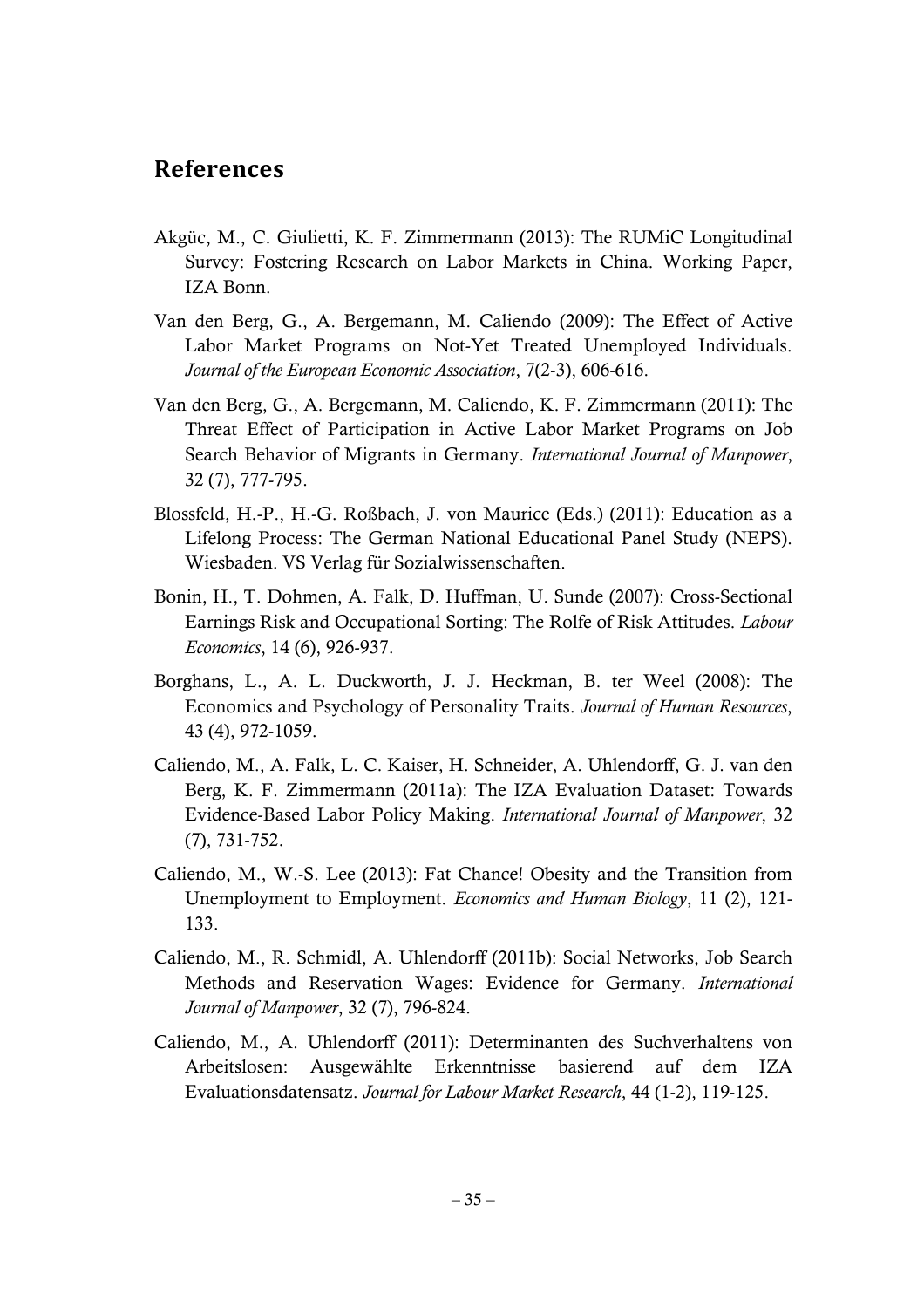# **References**

- Akgüc, M., C. Giulietti, K. F. Zimmermann (2013): The RUMiC Longitudinal Survey: Fostering Research on Labor Markets in China. Working Paper, IZA Bonn.
- Van den Berg, G., A. Bergemann, M. Caliendo (2009): The Effect of Active Labor Market Programs on Not-Yet Treated Unemployed Individuals. *Journal of the European Economic Association*, 7(2-3), 606-616.
- Van den Berg, G., A. Bergemann, M. Caliendo, K. F. Zimmermann (2011): The Threat Effect of Participation in Active Labor Market Programs on Job Search Behavior of Migrants in Germany. *International Journal of Manpower*, 32 (7), 777-795.
- Blossfeld, H.-P., H.-G. Roßbach, J. von Maurice (Eds.) (2011): Education as a Lifelong Process: The German National Educational Panel Study (NEPS). Wiesbaden. VS Verlag für Sozialwissenschaften.
- Bonin, H., T. Dohmen, A. Falk, D. Huffman, U. Sunde (2007): Cross-Sectional Earnings Risk and Occupational Sorting: The Rolfe of Risk Attitudes. *Labour Economics*, 14 (6), 926-937.
- Borghans, L., A. L. Duckworth, J. J. Heckman, B. ter Weel (2008): The Economics and Psychology of Personality Traits. *Journal of Human Resources*, 43 (4), 972-1059.
- Caliendo, M., A. Falk, L. C. Kaiser, H. Schneider, A. Uhlendorff, G. J. van den Berg, K. F. Zimmermann (2011a): The IZA Evaluation Dataset: Towards Evidence-Based Labor Policy Making. *International Journal of Manpower*, 32 (7), 731-752.
- Caliendo, M., W.-S. Lee (2013): Fat Chance! Obesity and the Transition from Unemployment to Employment. *Economics and Human Biology*, 11 (2), 121- 133.
- Caliendo, M., R. Schmidl, A. Uhlendorff (2011b): Social Networks, Job Search Methods and Reservation Wages: Evidence for Germany. *International Journal of Manpower*, 32 (7), 796-824.
- Caliendo, M., A. Uhlendorff (2011): Determinanten des Suchverhaltens von Arbeitslosen: Ausgewählte Erkenntnisse basierend auf dem IZA Evaluationsdatensatz. *Journal for Labour Market Research*, 44 (1-2), 119-125.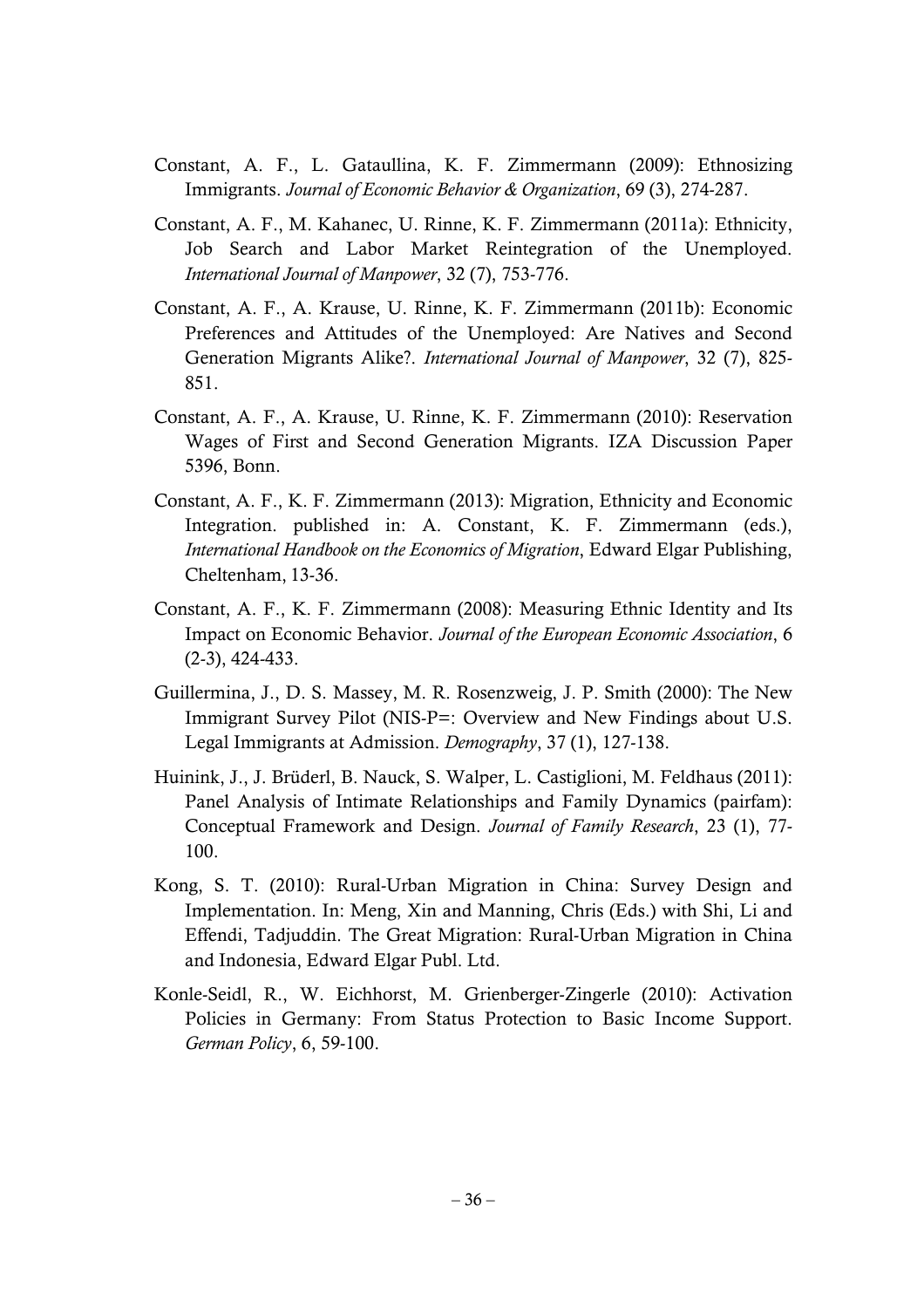- Constant, A. F., L. Gataullina, K. F. Zimmermann (2009): Ethnosizing Immigrants. *Journal of Economic Behavior & Organization*, 69 (3), 274-287.
- Constant, A. F., M. Kahanec, U. Rinne, K. F. Zimmermann (2011a): Ethnicity, Job Search and Labor Market Reintegration of the Unemployed. *International Journal of Manpower*, 32 (7), 753-776.
- Constant, A. F., A. Krause, U. Rinne, K. F. Zimmermann (2011b): Economic Preferences and Attitudes of the Unemployed: Are Natives and Second Generation Migrants Alike?. *International Journal of Manpower*, 32 (7), 825- 851.
- Constant, A. F., A. Krause, U. Rinne, K. F. Zimmermann (2010): Reservation Wages of First and Second Generation Migrants. IZA Discussion Paper 5396, Bonn.
- Constant, A. F., K. F. Zimmermann (2013): Migration, Ethnicity and Economic Integration. published in: A. Constant, K. F. Zimmermann (eds.), *International Handbook on the Economics of Migration*, Edward Elgar Publishing, Cheltenham, 13-36.
- Constant, A. F., K. F. Zimmermann (2008): Measuring Ethnic Identity and Its Impact on Economic Behavior. *Journal of the European Economic Association*, 6 (2-3), 424-433.
- Guillermina, J., D. S. Massey, M. R. Rosenzweig, J. P. Smith (2000): The New Immigrant Survey Pilot (NIS-P=: Overview and New Findings about U.S. Legal Immigrants at Admission. *Demography*, 37 (1), 127-138.
- Huinink, J., J. Brüderl, B. Nauck, S. Walper, L. Castiglioni, M. Feldhaus (2011): Panel Analysis of Intimate Relationships and Family Dynamics (pairfam): Conceptual Framework and Design. *Journal of Family Research*, 23 (1), 77- 100.
- Kong, S. T. (2010): Rural-Urban Migration in China: Survey Design and Implementation. In: Meng, Xin and Manning, Chris (Eds.) with Shi, Li and Effendi, Tadjuddin. The Great Migration: Rural-Urban Migration in China and Indonesia, Edward Elgar Publ. Ltd.
- Konle-Seidl, R., W. Eichhorst, M. Grienberger-Zingerle (2010): Activation Policies in Germany: From Status Protection to Basic Income Support. *German Policy*, 6, 59-100.